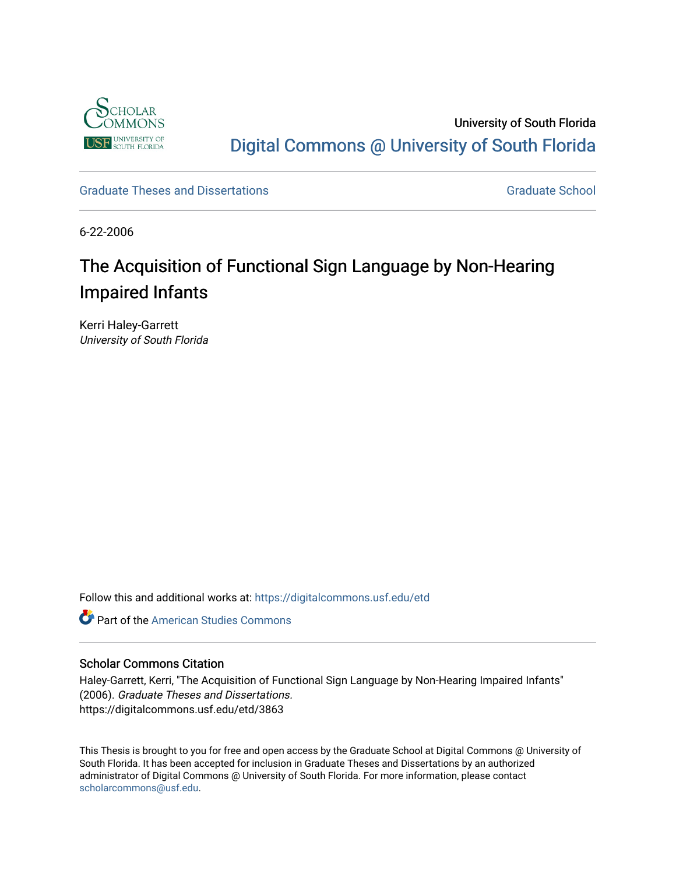

University of South Florida [Digital Commons @ University of South Florida](https://digitalcommons.usf.edu/) 

[Graduate Theses and Dissertations](https://digitalcommons.usf.edu/etd) [Graduate School](https://digitalcommons.usf.edu/grad) Craduate School Craduate School

6-22-2006

# The Acquisition of Functional Sign Language by Non-Hearing Impaired Infants

Kerri Haley-Garrett University of South Florida

Follow this and additional works at: [https://digitalcommons.usf.edu/etd](https://digitalcommons.usf.edu/etd?utm_source=digitalcommons.usf.edu%2Fetd%2F3863&utm_medium=PDF&utm_campaign=PDFCoverPages) 

**C** Part of the [American Studies Commons](http://network.bepress.com/hgg/discipline/439?utm_source=digitalcommons.usf.edu%2Fetd%2F3863&utm_medium=PDF&utm_campaign=PDFCoverPages)

## Scholar Commons Citation

Haley-Garrett, Kerri, "The Acquisition of Functional Sign Language by Non-Hearing Impaired Infants" (2006). Graduate Theses and Dissertations. https://digitalcommons.usf.edu/etd/3863

This Thesis is brought to you for free and open access by the Graduate School at Digital Commons @ University of South Florida. It has been accepted for inclusion in Graduate Theses and Dissertations by an authorized administrator of Digital Commons @ University of South Florida. For more information, please contact [scholarcommons@usf.edu.](mailto:scholarcommons@usf.edu)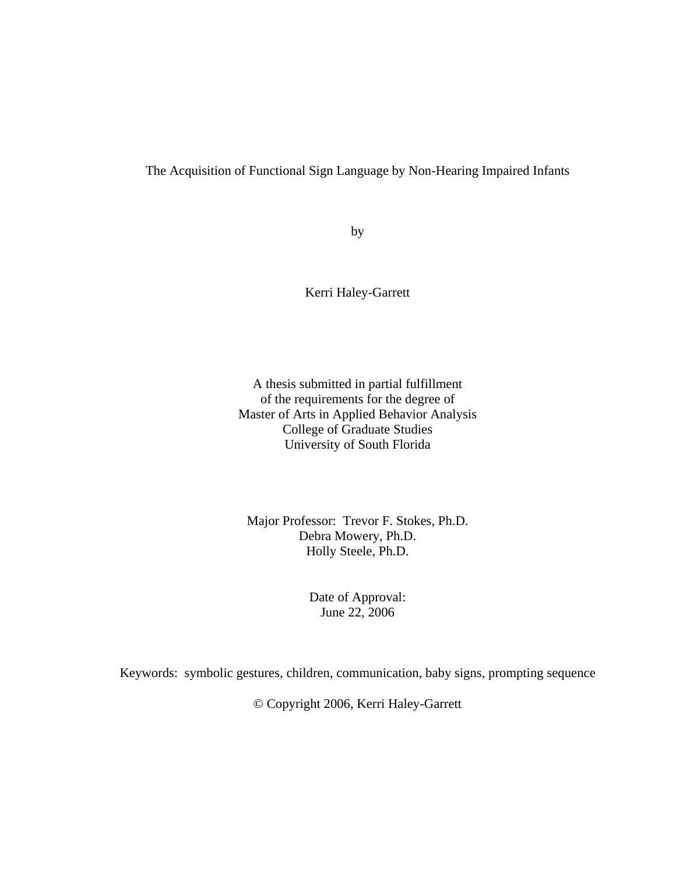## The Acquisition of Functional Sign Language by Non-Hearing Impaired Infants

by

Kerri Haley-Garrett

A thesis submitted in partial fulfillment of the requirements for the degree of Master of Arts in Applied Behavior Analysis College of Graduate Studies University of South Florida

Major Professor: Trevor F. Stokes, Ph.D. Debra Mowery, Ph.D. Holly Steele, Ph.D.

> Date of Approval: June 22, 2006

Keywords:symbolic gestures, children, communication, baby signs, prompting sequence

© Copyright 2006, Kerri Haley-Garrett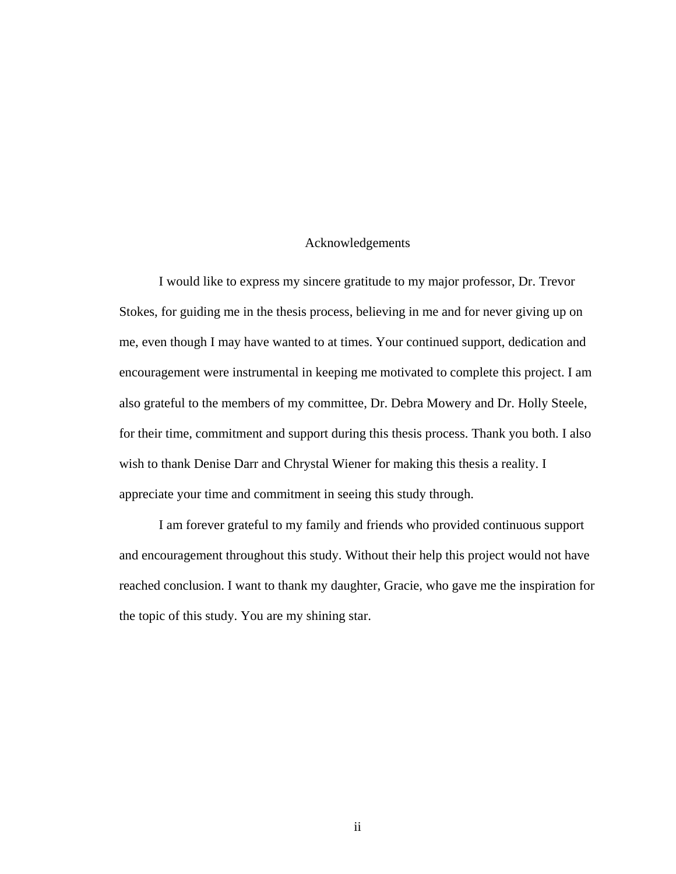## Acknowledgements

I would like to express my sincere gratitude to my major professor, Dr. Trevor Stokes, for guiding me in the thesis process, believing in me and for never giving up on me, even though I may have wanted to at times. Your continued support, dedication and encouragement were instrumental in keeping me motivated to complete this project. I am also grateful to the members of my committee, Dr. Debra Mowery and Dr. Holly Steele, for their time, commitment and support during this thesis process. Thank you both. I also wish to thank Denise Darr and Chrystal Wiener for making this thesis a reality. I appreciate your time and commitment in seeing this study through.

I am forever grateful to my family and friends who provided continuous support and encouragement throughout this study. Without their help this project would not have reached conclusion. I want to thank my daughter, Gracie, who gave me the inspiration for the topic of this study. You are my shining star.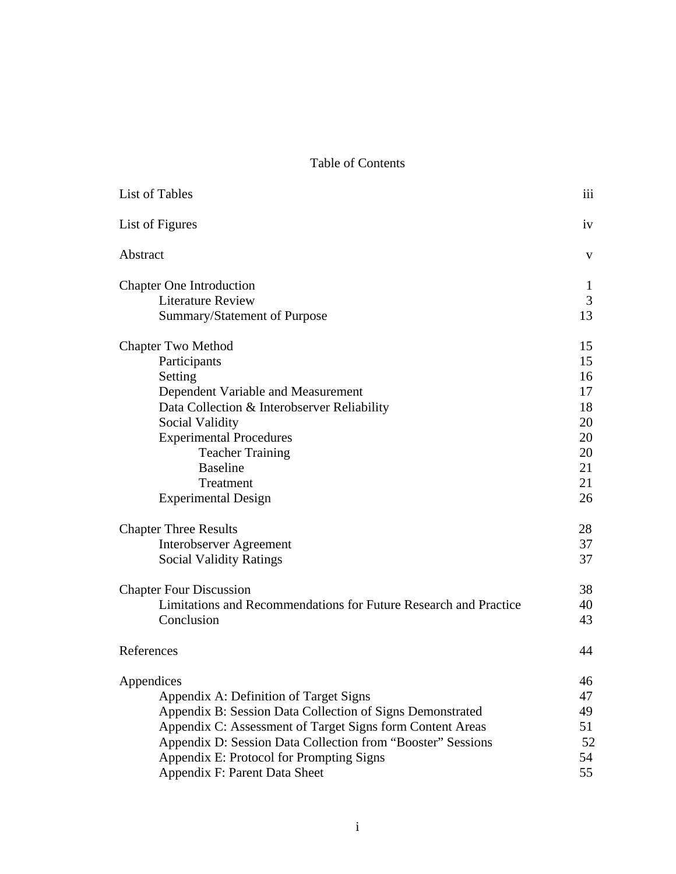Table of Contents

| List of Tables                                                   | iii |
|------------------------------------------------------------------|-----|
| List of Figures                                                  | iv  |
| Abstract                                                         | V   |
| <b>Chapter One Introduction</b>                                  | 1   |
| <b>Literature Review</b>                                         | 3   |
| Summary/Statement of Purpose                                     | 13  |
| Chapter Two Method                                               | 15  |
| Participants                                                     | 15  |
| Setting                                                          | 16  |
| Dependent Variable and Measurement                               | 17  |
| Data Collection & Interobserver Reliability                      | 18  |
| Social Validity                                                  | 20  |
| <b>Experimental Procedures</b>                                   | 20  |
| <b>Teacher Training</b>                                          | 20  |
| <b>Baseline</b>                                                  | 21  |
| Treatment                                                        | 21  |
| <b>Experimental Design</b>                                       | 26  |
| <b>Chapter Three Results</b>                                     | 28  |
| <b>Interobserver Agreement</b>                                   | 37  |
| <b>Social Validity Ratings</b>                                   | 37  |
| <b>Chapter Four Discussion</b>                                   | 38  |
| Limitations and Recommendations for Future Research and Practice | 40  |
| Conclusion                                                       | 43  |
| References                                                       | 44  |
| Appendices                                                       | 46  |
| Appendix A: Definition of Target Signs                           | 47  |
| Appendix B: Session Data Collection of Signs Demonstrated        | 49  |
| Appendix C: Assessment of Target Signs form Content Areas        | 51  |
| Appendix D: Session Data Collection from "Booster" Sessions      | 52  |
| Appendix E: Protocol for Prompting Signs                         | 54  |
| Appendix F: Parent Data Sheet                                    | 55  |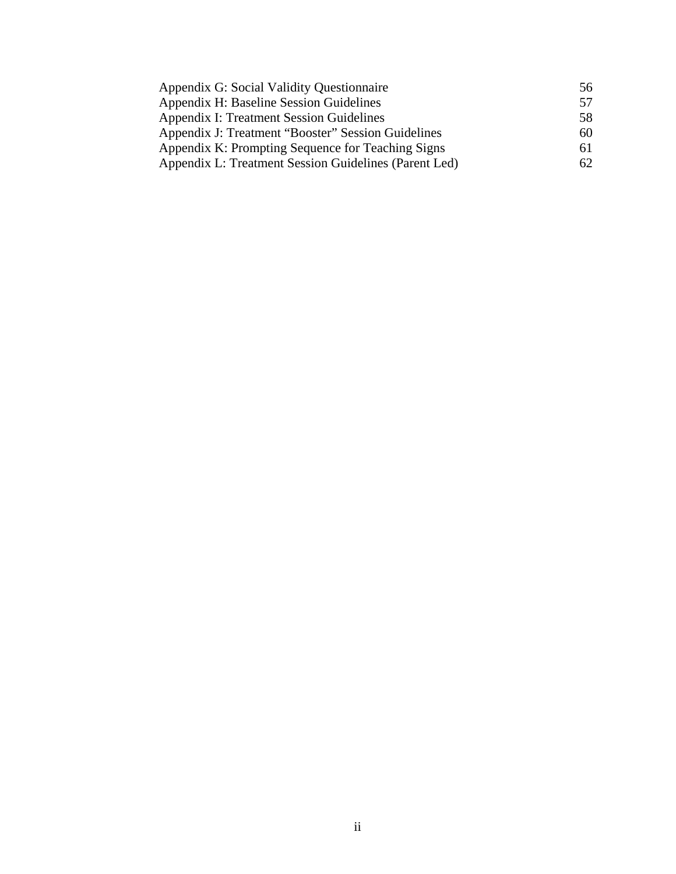| Appendix G: Social Validity Questionnaire             | 56  |
|-------------------------------------------------------|-----|
| Appendix H: Baseline Session Guidelines               | 57  |
| <b>Appendix I: Treatment Session Guidelines</b>       | 58  |
| Appendix J: Treatment "Booster" Session Guidelines    | 60  |
| Appendix K: Prompting Sequence for Teaching Signs     | 61  |
| Appendix L: Treatment Session Guidelines (Parent Led) | 62. |
|                                                       |     |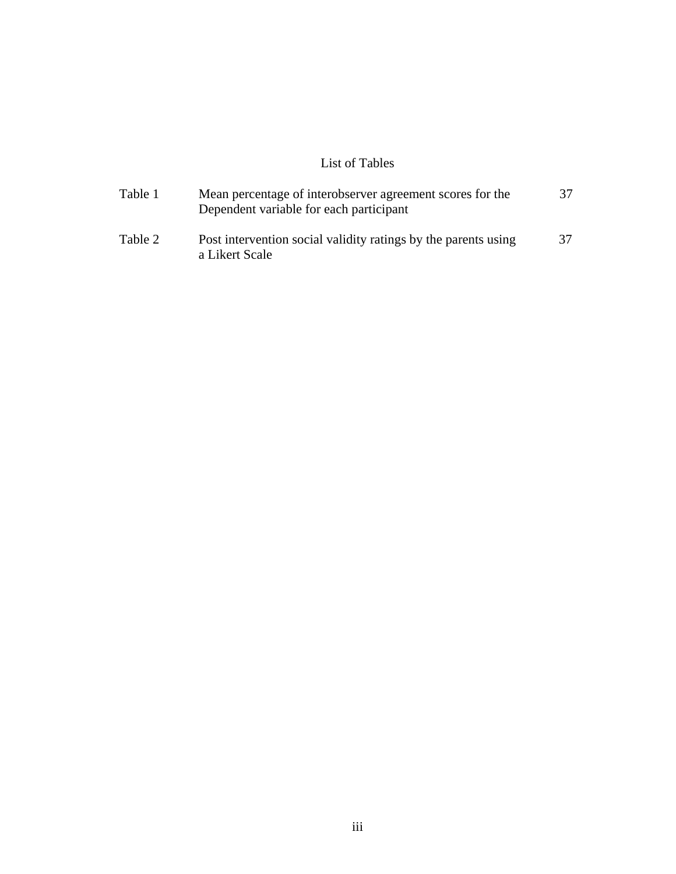# List of Tables

| Table 1 | Mean percentage of interobserver agreement scores for the<br>Dependent variable for each participant | 37 |
|---------|------------------------------------------------------------------------------------------------------|----|
| Table 2 | Post intervention social validity ratings by the parents using<br>a Likert Scale                     | 37 |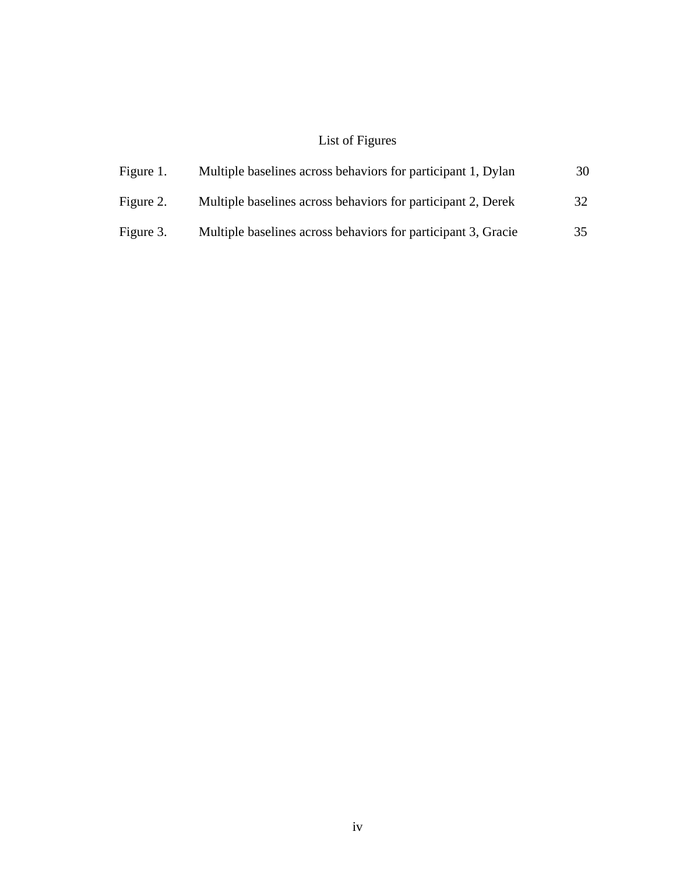# List of Figures

| Figure 1. | Multiple baselines across behaviors for participant 1, Dylan  | 30 |
|-----------|---------------------------------------------------------------|----|
| Figure 2. | Multiple baselines across behaviors for participant 2, Derek  | 32 |
| Figure 3. | Multiple baselines across behaviors for participant 3, Gracie | 35 |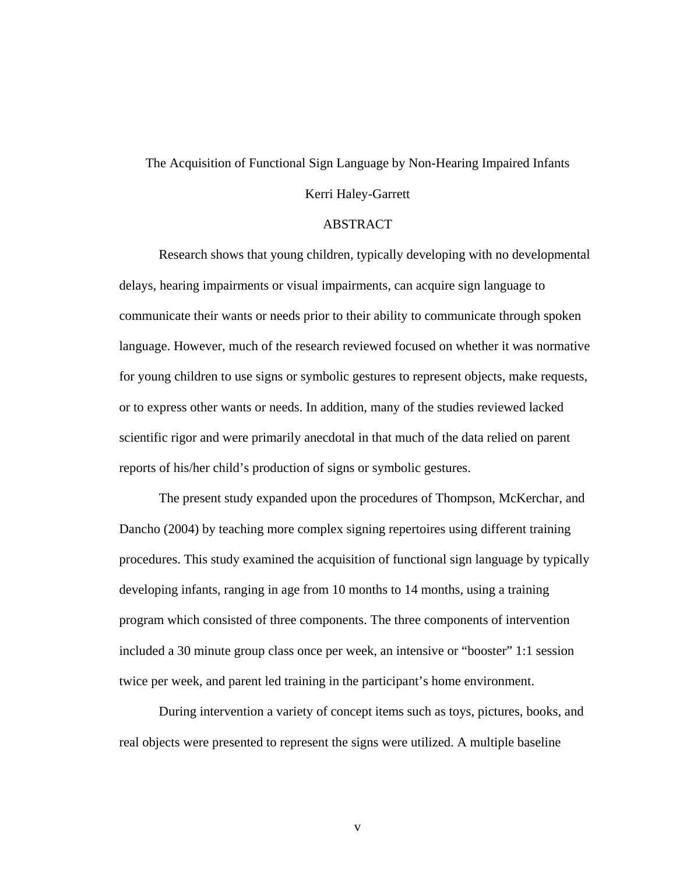# The Acquisition of Functional Sign Language by Non-Hearing Impaired Infants

## Kerri Haley-Garrett

#### ABSTRACT

Research shows that young children, typically developing with no developmental delays, hearing impairments or visual impairments, can acquire sign language to communicate their wants or needs prior to their ability to communicate through spoken language. However, much of the research reviewed focused on whether it was normative for young children to use signs or symbolic gestures to represent objects, make requests, or to express other wants or needs. In addition, many of the studies reviewed lacked scientific rigor and were primarily anecdotal in that much of the data relied on parent reports of his/her child's production of signs or symbolic gestures.

The present study expanded upon the procedures of Thompson, McKerchar, and Dancho (2004) by teaching more complex signing repertoires using different training procedures. This study examined the acquisition of functional sign language by typically developing infants, ranging in age from 10 months to 14 months, using a training program which consisted of three components. The three components of intervention included a 30 minute group class once per week, an intensive or "booster" 1:1 session twice per week, and parent led training in the participant's home environment.

During intervention a variety of concept items such as toys, pictures, books, and real objects were presented to represent the signs were utilized. A multiple baseline

v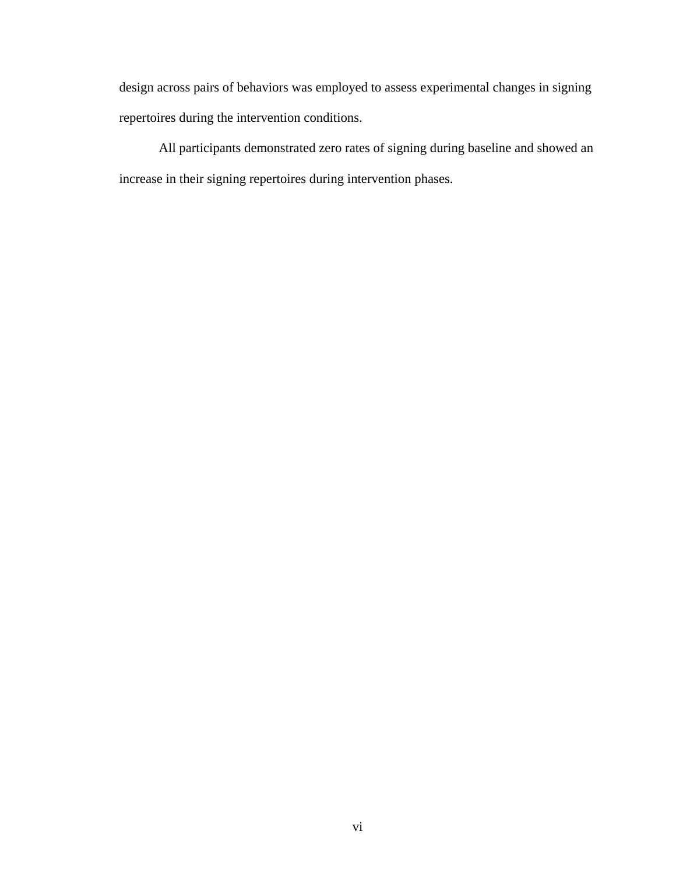design across pairs of behaviors was employed to assess experimental changes in signing repertoires during the intervention conditions.

All participants demonstrated zero rates of signing during baseline and showed an increase in their signing repertoires during intervention phases.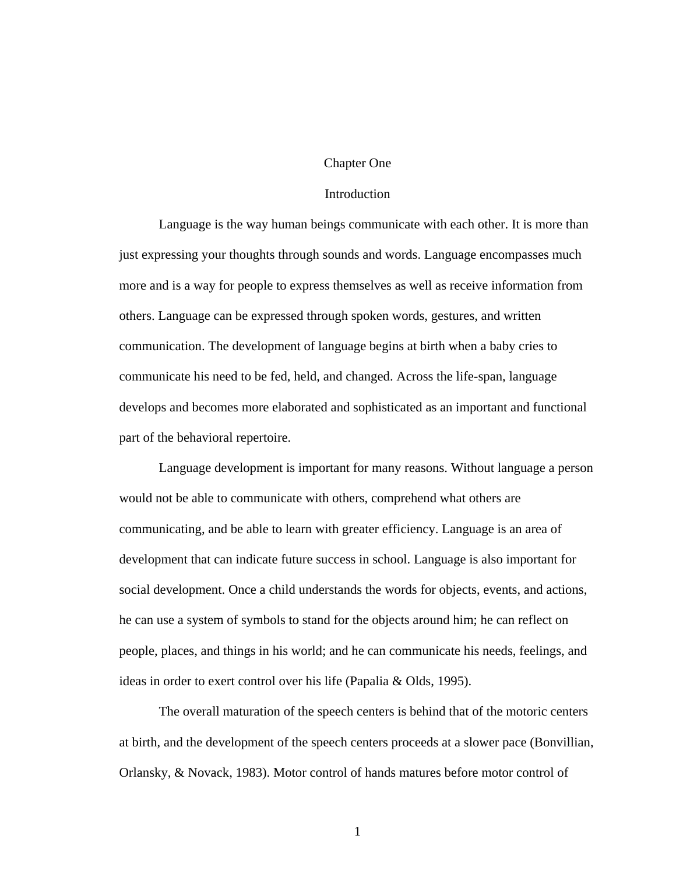#### Chapter One

## Introduction

Language is the way human beings communicate with each other. It is more than just expressing your thoughts through sounds and words. Language encompasses much more and is a way for people to express themselves as well as receive information from others. Language can be expressed through spoken words, gestures, and written communication. The development of language begins at birth when a baby cries to communicate his need to be fed, held, and changed. Across the life-span, language develops and becomes more elaborated and sophisticated as an important and functional part of the behavioral repertoire.

Language development is important for many reasons. Without language a person would not be able to communicate with others, comprehend what others are communicating, and be able to learn with greater efficiency. Language is an area of development that can indicate future success in school. Language is also important for social development. Once a child understands the words for objects, events, and actions, he can use a system of symbols to stand for the objects around him; he can reflect on people, places, and things in his world; and he can communicate his needs, feelings, and ideas in order to exert control over his life (Papalia & Olds, 1995).

The overall maturation of the speech centers is behind that of the motoric centers at birth, and the development of the speech centers proceeds at a slower pace (Bonvillian, Orlansky, & Novack, 1983). Motor control of hands matures before motor control of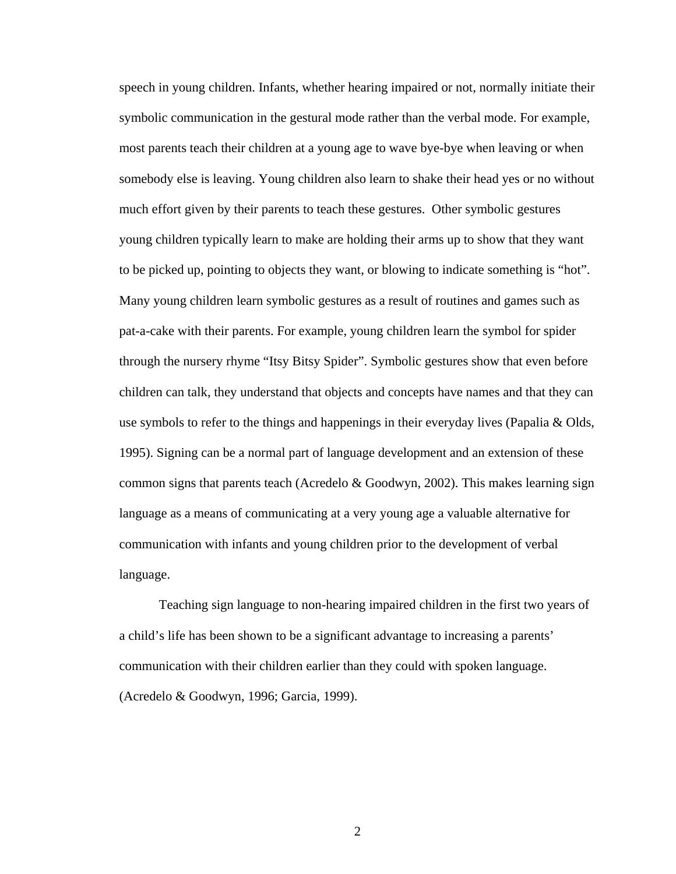speech in young children. Infants, whether hearing impaired or not, normally initiate their symbolic communication in the gestural mode rather than the verbal mode. For example, most parents teach their children at a young age to wave bye-bye when leaving or when somebody else is leaving. Young children also learn to shake their head yes or no without much effort given by their parents to teach these gestures. Other symbolic gestures young children typically learn to make are holding their arms up to show that they want to be picked up, pointing to objects they want, or blowing to indicate something is "hot". Many young children learn symbolic gestures as a result of routines and games such as pat-a-cake with their parents. For example, young children learn the symbol for spider through the nursery rhyme "Itsy Bitsy Spider". Symbolic gestures show that even before children can talk, they understand that objects and concepts have names and that they can use symbols to refer to the things and happenings in their everyday lives (Papalia & Olds, 1995). Signing can be a normal part of language development and an extension of these common signs that parents teach (Acredelo  $\&$  Goodwyn, 2002). This makes learning sign language as a means of communicating at a very young age a valuable alternative for communication with infants and young children prior to the development of verbal language.

Teaching sign language to non-hearing impaired children in the first two years of a child's life has been shown to be a significant advantage to increasing a parents' communication with their children earlier than they could with spoken language. (Acredelo & Goodwyn, 1996; Garcia, 1999).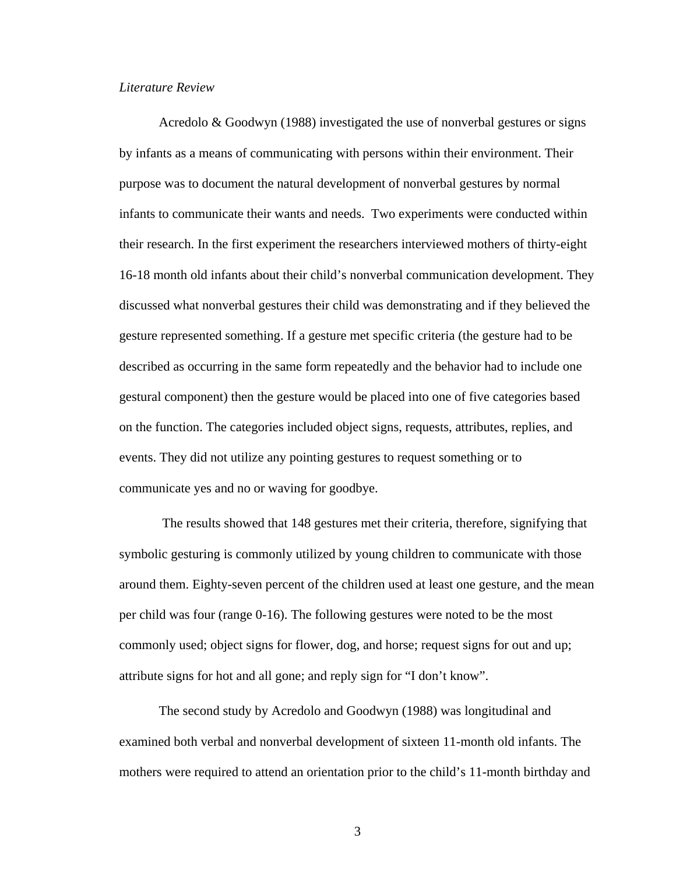#### *Literature Review*

Acredolo & Goodwyn (1988) investigated the use of nonverbal gestures or signs by infants as a means of communicating with persons within their environment. Their purpose was to document the natural development of nonverbal gestures by normal infants to communicate their wants and needs. Two experiments were conducted within their research. In the first experiment the researchers interviewed mothers of thirty-eight 16-18 month old infants about their child's nonverbal communication development. They discussed what nonverbal gestures their child was demonstrating and if they believed the gesture represented something. If a gesture met specific criteria (the gesture had to be described as occurring in the same form repeatedly and the behavior had to include one gestural component) then the gesture would be placed into one of five categories based on the function. The categories included object signs, requests, attributes, replies, and events. They did not utilize any pointing gestures to request something or to communicate yes and no or waving for goodbye.

 The results showed that 148 gestures met their criteria, therefore, signifying that symbolic gesturing is commonly utilized by young children to communicate with those around them. Eighty-seven percent of the children used at least one gesture, and the mean per child was four (range 0-16). The following gestures were noted to be the most commonly used; object signs for flower, dog, and horse; request signs for out and up; attribute signs for hot and all gone; and reply sign for "I don't know".

The second study by Acredolo and Goodwyn (1988) was longitudinal and examined both verbal and nonverbal development of sixteen 11-month old infants. The mothers were required to attend an orientation prior to the child's 11-month birthday and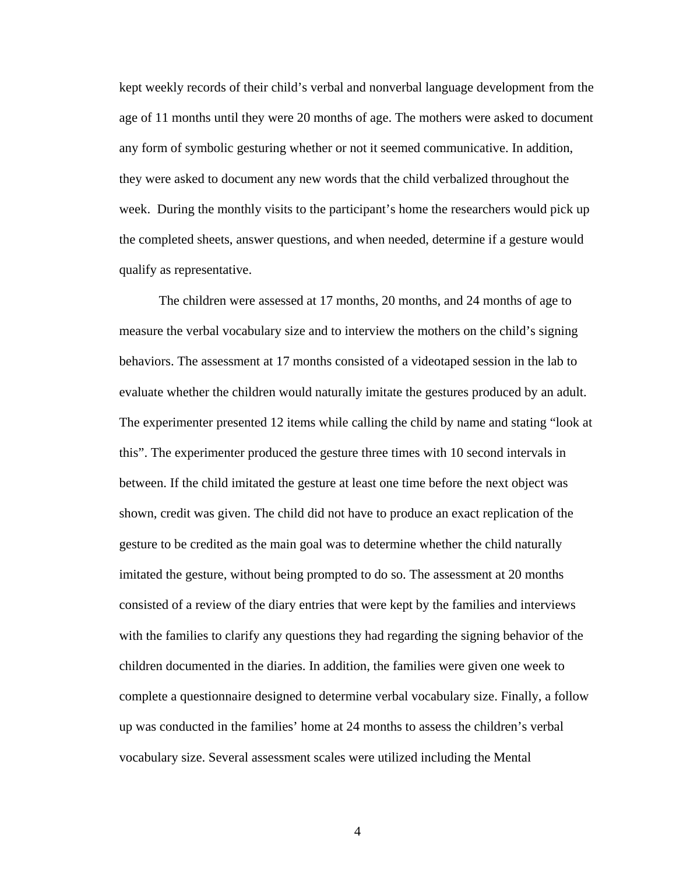kept weekly records of their child's verbal and nonverbal language development from the age of 11 months until they were 20 months of age. The mothers were asked to document any form of symbolic gesturing whether or not it seemed communicative. In addition, they were asked to document any new words that the child verbalized throughout the week. During the monthly visits to the participant's home the researchers would pick up the completed sheets, answer questions, and when needed, determine if a gesture would qualify as representative.

The children were assessed at 17 months, 20 months, and 24 months of age to measure the verbal vocabulary size and to interview the mothers on the child's signing behaviors. The assessment at 17 months consisted of a videotaped session in the lab to evaluate whether the children would naturally imitate the gestures produced by an adult. The experimenter presented 12 items while calling the child by name and stating "look at this". The experimenter produced the gesture three times with 10 second intervals in between. If the child imitated the gesture at least one time before the next object was shown, credit was given. The child did not have to produce an exact replication of the gesture to be credited as the main goal was to determine whether the child naturally imitated the gesture, without being prompted to do so. The assessment at 20 months consisted of a review of the diary entries that were kept by the families and interviews with the families to clarify any questions they had regarding the signing behavior of the children documented in the diaries. In addition, the families were given one week to complete a questionnaire designed to determine verbal vocabulary size. Finally, a follow up was conducted in the families' home at 24 months to assess the children's verbal vocabulary size. Several assessment scales were utilized including the Mental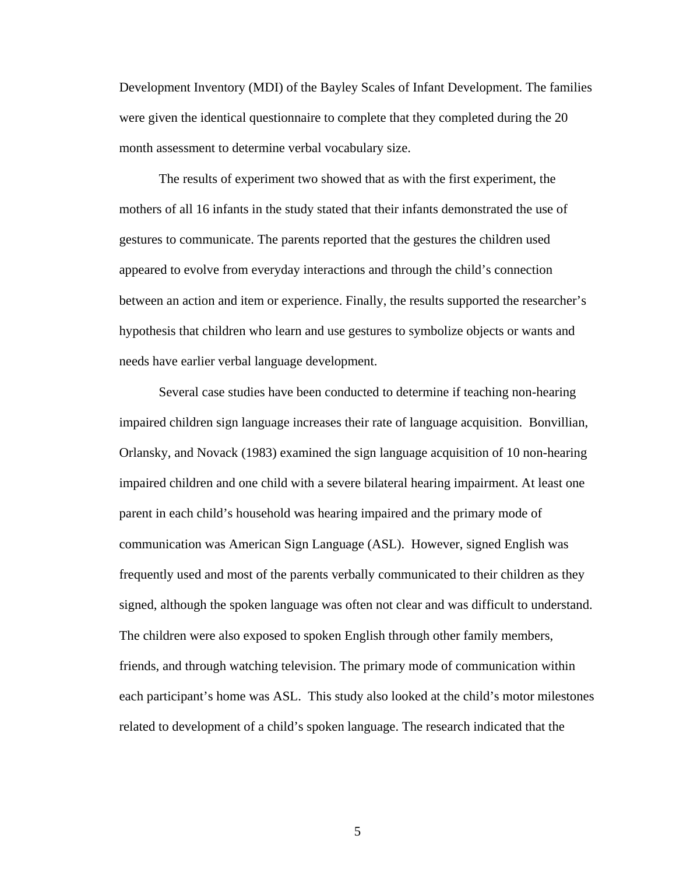Development Inventory (MDI) of the Bayley Scales of Infant Development. The families were given the identical questionnaire to complete that they completed during the 20 month assessment to determine verbal vocabulary size.

The results of experiment two showed that as with the first experiment, the mothers of all 16 infants in the study stated that their infants demonstrated the use of gestures to communicate. The parents reported that the gestures the children used appeared to evolve from everyday interactions and through the child's connection between an action and item or experience. Finally, the results supported the researcher's hypothesis that children who learn and use gestures to symbolize objects or wants and needs have earlier verbal language development.

Several case studies have been conducted to determine if teaching non-hearing impaired children sign language increases their rate of language acquisition. Bonvillian, Orlansky, and Novack (1983) examined the sign language acquisition of 10 non-hearing impaired children and one child with a severe bilateral hearing impairment. At least one parent in each child's household was hearing impaired and the primary mode of communication was American Sign Language (ASL). However, signed English was frequently used and most of the parents verbally communicated to their children as they signed, although the spoken language was often not clear and was difficult to understand. The children were also exposed to spoken English through other family members, friends, and through watching television. The primary mode of communication within each participant's home was ASL. This study also looked at the child's motor milestones related to development of a child's spoken language. The research indicated that the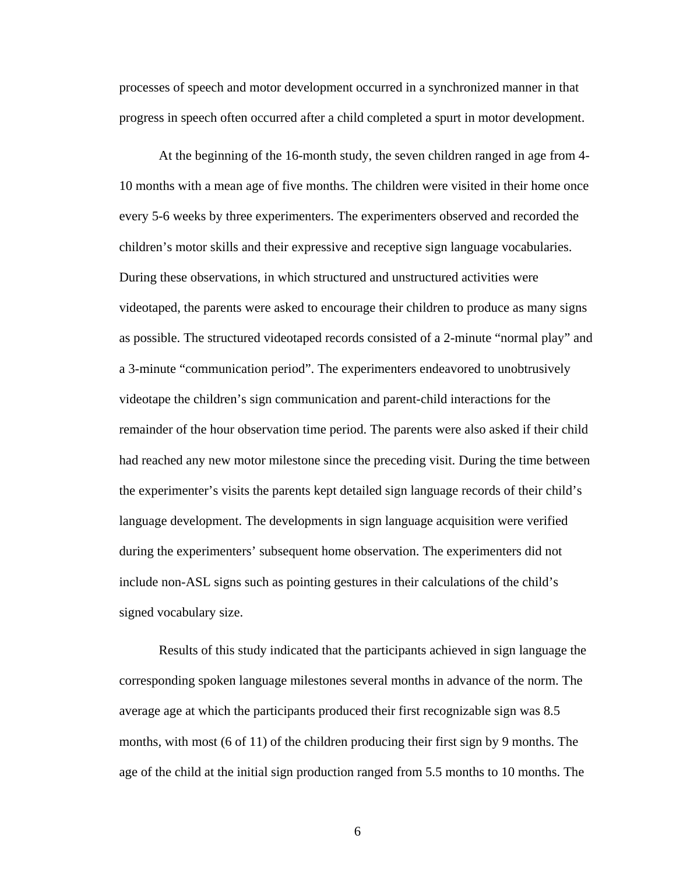processes of speech and motor development occurred in a synchronized manner in that progress in speech often occurred after a child completed a spurt in motor development.

At the beginning of the 16-month study, the seven children ranged in age from 4- 10 months with a mean age of five months. The children were visited in their home once every 5-6 weeks by three experimenters. The experimenters observed and recorded the children's motor skills and their expressive and receptive sign language vocabularies. During these observations, in which structured and unstructured activities were videotaped, the parents were asked to encourage their children to produce as many signs as possible. The structured videotaped records consisted of a 2-minute "normal play" and a 3-minute "communication period". The experimenters endeavored to unobtrusively videotape the children's sign communication and parent-child interactions for the remainder of the hour observation time period. The parents were also asked if their child had reached any new motor milestone since the preceding visit. During the time between the experimenter's visits the parents kept detailed sign language records of their child's language development. The developments in sign language acquisition were verified during the experimenters' subsequent home observation. The experimenters did not include non-ASL signs such as pointing gestures in their calculations of the child's signed vocabulary size.

Results of this study indicated that the participants achieved in sign language the corresponding spoken language milestones several months in advance of the norm. The average age at which the participants produced their first recognizable sign was 8.5 months, with most (6 of 11) of the children producing their first sign by 9 months. The age of the child at the initial sign production ranged from 5.5 months to 10 months. The

 $\sim$  6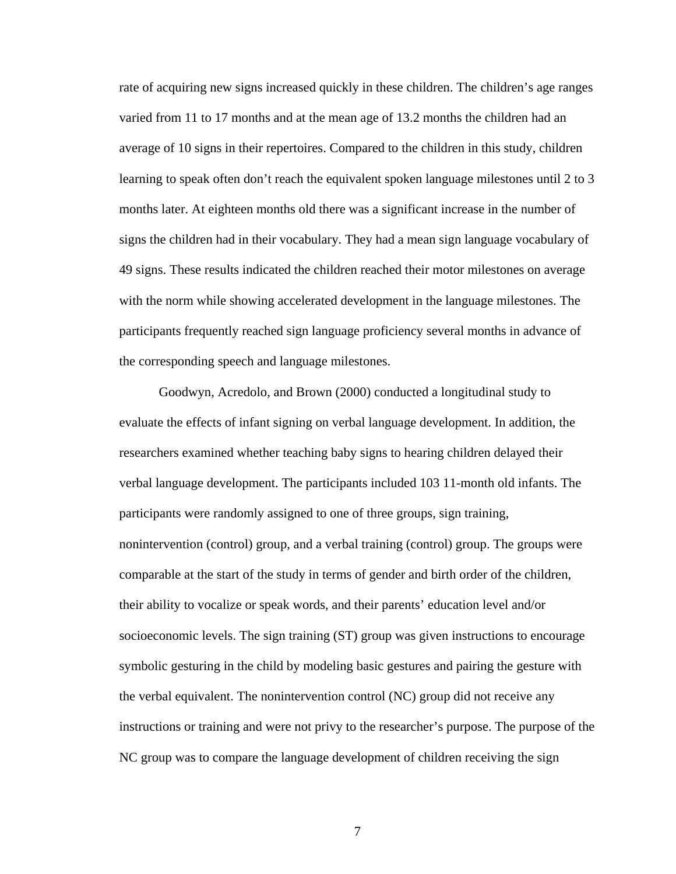rate of acquiring new signs increased quickly in these children. The children's age ranges varied from 11 to 17 months and at the mean age of 13.2 months the children had an average of 10 signs in their repertoires. Compared to the children in this study, children learning to speak often don't reach the equivalent spoken language milestones until 2 to 3 months later. At eighteen months old there was a significant increase in the number of signs the children had in their vocabulary. They had a mean sign language vocabulary of 49 signs. These results indicated the children reached their motor milestones on average with the norm while showing accelerated development in the language milestones. The participants frequently reached sign language proficiency several months in advance of the corresponding speech and language milestones.

Goodwyn, Acredolo, and Brown (2000) conducted a longitudinal study to evaluate the effects of infant signing on verbal language development. In addition, the researchers examined whether teaching baby signs to hearing children delayed their verbal language development. The participants included 103 11-month old infants. The participants were randomly assigned to one of three groups, sign training, nonintervention (control) group, and a verbal training (control) group. The groups were comparable at the start of the study in terms of gender and birth order of the children, their ability to vocalize or speak words, and their parents' education level and/or socioeconomic levels. The sign training (ST) group was given instructions to encourage symbolic gesturing in the child by modeling basic gestures and pairing the gesture with the verbal equivalent. The nonintervention control (NC) group did not receive any instructions or training and were not privy to the researcher's purpose. The purpose of the NC group was to compare the language development of children receiving the sign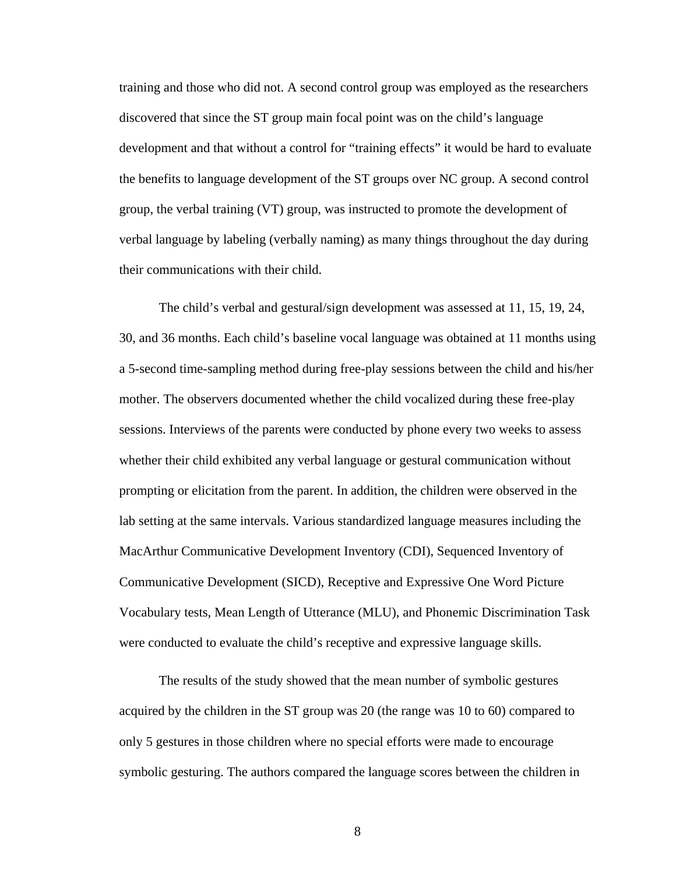training and those who did not. A second control group was employed as the researchers discovered that since the ST group main focal point was on the child's language development and that without a control for "training effects" it would be hard to evaluate the benefits to language development of the ST groups over NC group. A second control group, the verbal training (VT) group, was instructed to promote the development of verbal language by labeling (verbally naming) as many things throughout the day during their communications with their child.

The child's verbal and gestural/sign development was assessed at 11, 15, 19, 24, 30, and 36 months. Each child's baseline vocal language was obtained at 11 months using a 5-second time-sampling method during free-play sessions between the child and his/her mother. The observers documented whether the child vocalized during these free-play sessions. Interviews of the parents were conducted by phone every two weeks to assess whether their child exhibited any verbal language or gestural communication without prompting or elicitation from the parent. In addition, the children were observed in the lab setting at the same intervals. Various standardized language measures including the MacArthur Communicative Development Inventory (CDI), Sequenced Inventory of Communicative Development (SICD), Receptive and Expressive One Word Picture Vocabulary tests, Mean Length of Utterance (MLU), and Phonemic Discrimination Task were conducted to evaluate the child's receptive and expressive language skills.

The results of the study showed that the mean number of symbolic gestures acquired by the children in the ST group was 20 (the range was 10 to 60) compared to only 5 gestures in those children where no special efforts were made to encourage symbolic gesturing. The authors compared the language scores between the children in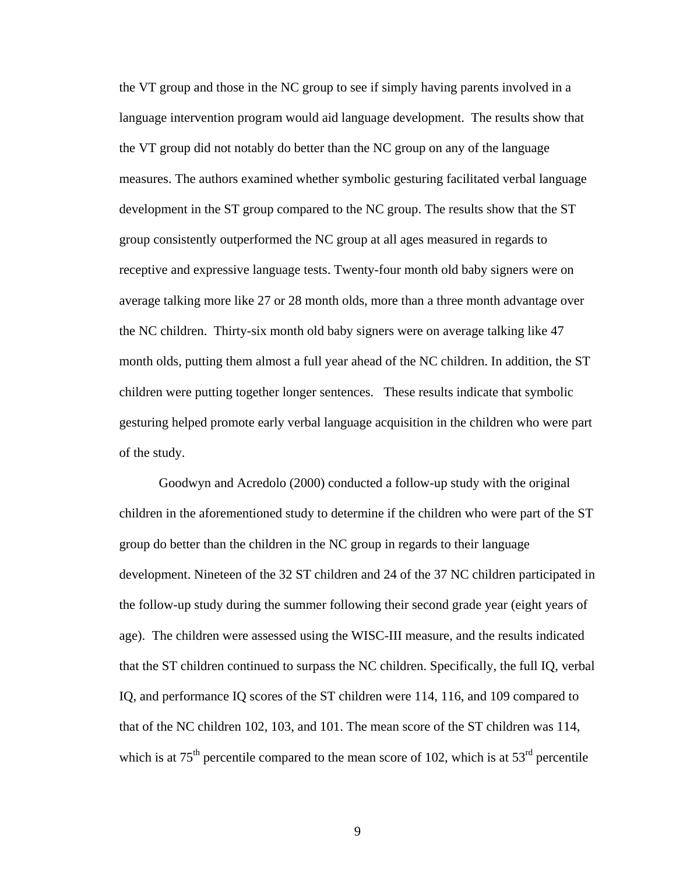the VT group and those in the NC group to see if simply having parents involved in a language intervention program would aid language development. The results show that the VT group did not notably do better than the NC group on any of the language measures. The authors examined whether symbolic gesturing facilitated verbal language development in the ST group compared to the NC group. The results show that the ST group consistently outperformed the NC group at all ages measured in regards to receptive and expressive language tests. Twenty-four month old baby signers were on average talking more like 27 or 28 month olds, more than a three month advantage over the NC children. Thirty-six month old baby signers were on average talking like 47 month olds, putting them almost a full year ahead of the NC children. In addition, the ST children were putting together longer sentences. These results indicate that symbolic gesturing helped promote early verbal language acquisition in the children who were part of the study.

Goodwyn and Acredolo (2000) conducted a follow-up study with the original children in the aforementioned study to determine if the children who were part of the ST group do better than the children in the NC group in regards to their language development. Nineteen of the 32 ST children and 24 of the 37 NC children participated in the follow-up study during the summer following their second grade year (eight years of age). The children were assessed using the WISC-III measure, and the results indicated that the ST children continued to surpass the NC children. Specifically, the full IQ, verbal IQ, and performance IQ scores of the ST children were 114, 116, and 109 compared to that of the NC children 102, 103, and 101. The mean score of the ST children was 114, which is at  $75<sup>th</sup>$  percentile compared to the mean score of 102, which is at  $53<sup>rd</sup>$  percentile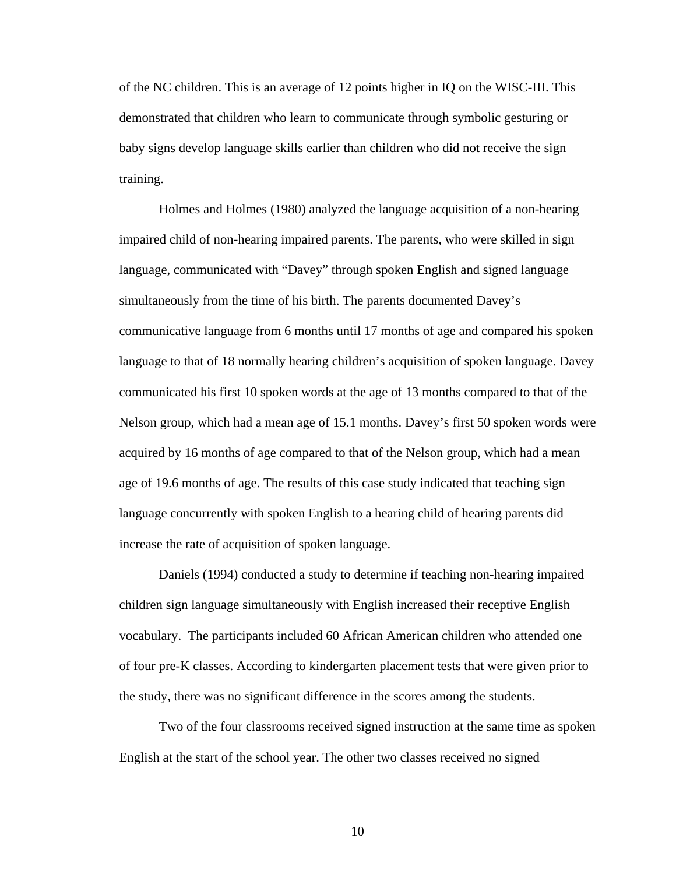of the NC children. This is an average of 12 points higher in IQ on the WISC-III. This demonstrated that children who learn to communicate through symbolic gesturing or baby signs develop language skills earlier than children who did not receive the sign training.

Holmes and Holmes (1980) analyzed the language acquisition of a non-hearing impaired child of non-hearing impaired parents. The parents, who were skilled in sign language, communicated with "Davey" through spoken English and signed language simultaneously from the time of his birth. The parents documented Davey's communicative language from 6 months until 17 months of age and compared his spoken language to that of 18 normally hearing children's acquisition of spoken language. Davey communicated his first 10 spoken words at the age of 13 months compared to that of the Nelson group, which had a mean age of 15.1 months. Davey's first 50 spoken words were acquired by 16 months of age compared to that of the Nelson group, which had a mean age of 19.6 months of age. The results of this case study indicated that teaching sign language concurrently with spoken English to a hearing child of hearing parents did increase the rate of acquisition of spoken language.

Daniels (1994) conducted a study to determine if teaching non-hearing impaired children sign language simultaneously with English increased their receptive English vocabulary. The participants included 60 African American children who attended one of four pre-K classes. According to kindergarten placement tests that were given prior to the study, there was no significant difference in the scores among the students.

Two of the four classrooms received signed instruction at the same time as spoken English at the start of the school year. The other two classes received no signed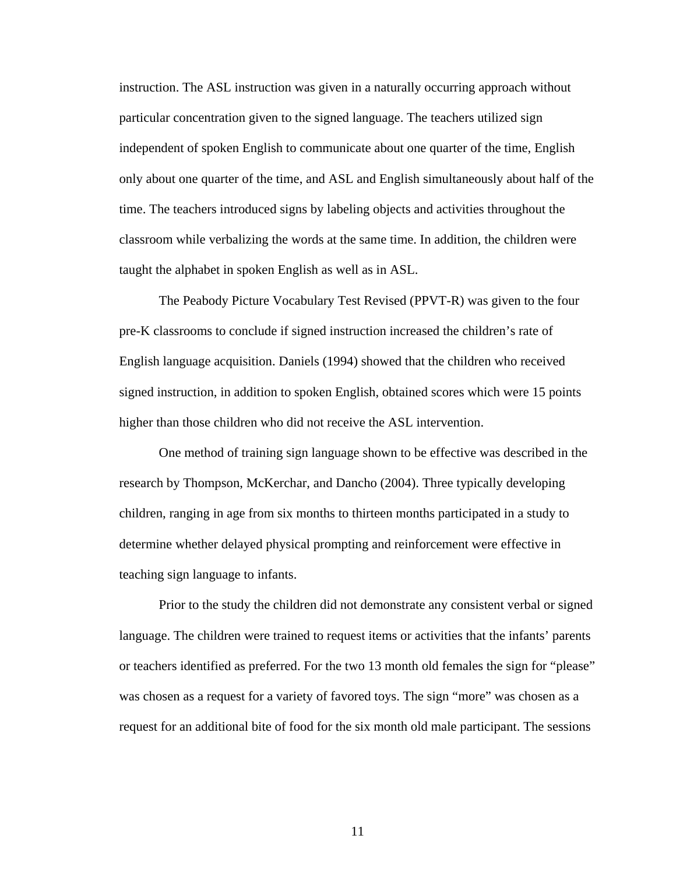instruction. The ASL instruction was given in a naturally occurring approach without particular concentration given to the signed language. The teachers utilized sign independent of spoken English to communicate about one quarter of the time, English only about one quarter of the time, and ASL and English simultaneously about half of the time. The teachers introduced signs by labeling objects and activities throughout the classroom while verbalizing the words at the same time. In addition, the children were taught the alphabet in spoken English as well as in ASL.

The Peabody Picture Vocabulary Test Revised (PPVT-R) was given to the four pre-K classrooms to conclude if signed instruction increased the children's rate of English language acquisition. Daniels (1994) showed that the children who received signed instruction, in addition to spoken English, obtained scores which were 15 points higher than those children who did not receive the ASL intervention.

One method of training sign language shown to be effective was described in the research by Thompson, McKerchar, and Dancho (2004). Three typically developing children, ranging in age from six months to thirteen months participated in a study to determine whether delayed physical prompting and reinforcement were effective in teaching sign language to infants.

Prior to the study the children did not demonstrate any consistent verbal or signed language. The children were trained to request items or activities that the infants' parents or teachers identified as preferred. For the two 13 month old females the sign for "please" was chosen as a request for a variety of favored toys. The sign "more" was chosen as a request for an additional bite of food for the six month old male participant. The sessions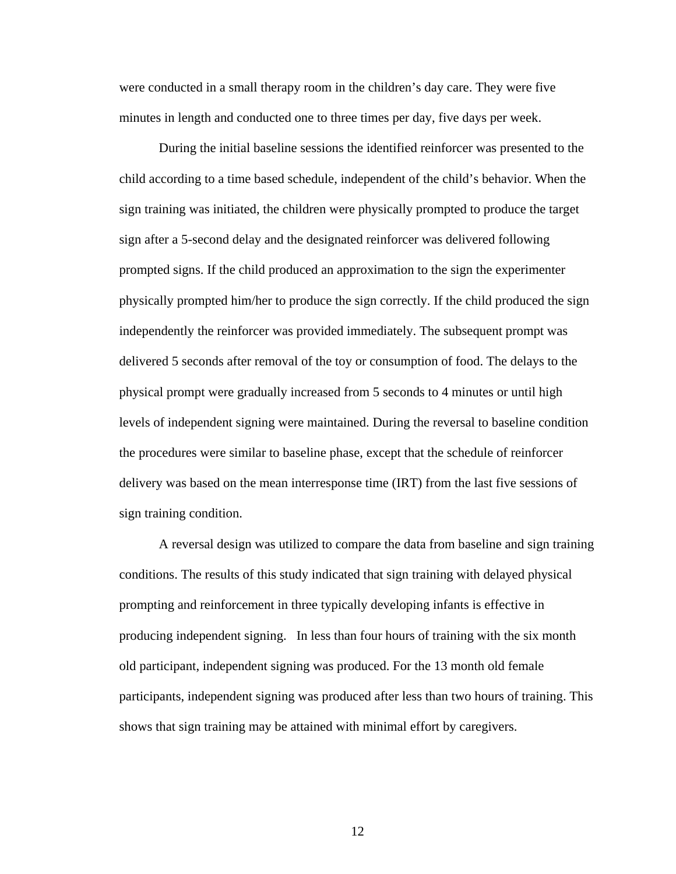were conducted in a small therapy room in the children's day care. They were five minutes in length and conducted one to three times per day, five days per week.

During the initial baseline sessions the identified reinforcer was presented to the child according to a time based schedule, independent of the child's behavior. When the sign training was initiated, the children were physically prompted to produce the target sign after a 5-second delay and the designated reinforcer was delivered following prompted signs. If the child produced an approximation to the sign the experimenter physically prompted him/her to produce the sign correctly. If the child produced the sign independently the reinforcer was provided immediately. The subsequent prompt was delivered 5 seconds after removal of the toy or consumption of food. The delays to the physical prompt were gradually increased from 5 seconds to 4 minutes or until high levels of independent signing were maintained. During the reversal to baseline condition the procedures were similar to baseline phase, except that the schedule of reinforcer delivery was based on the mean interresponse time (IRT) from the last five sessions of sign training condition.

A reversal design was utilized to compare the data from baseline and sign training conditions. The results of this study indicated that sign training with delayed physical prompting and reinforcement in three typically developing infants is effective in producing independent signing. In less than four hours of training with the six month old participant, independent signing was produced. For the 13 month old female participants, independent signing was produced after less than two hours of training. This shows that sign training may be attained with minimal effort by caregivers.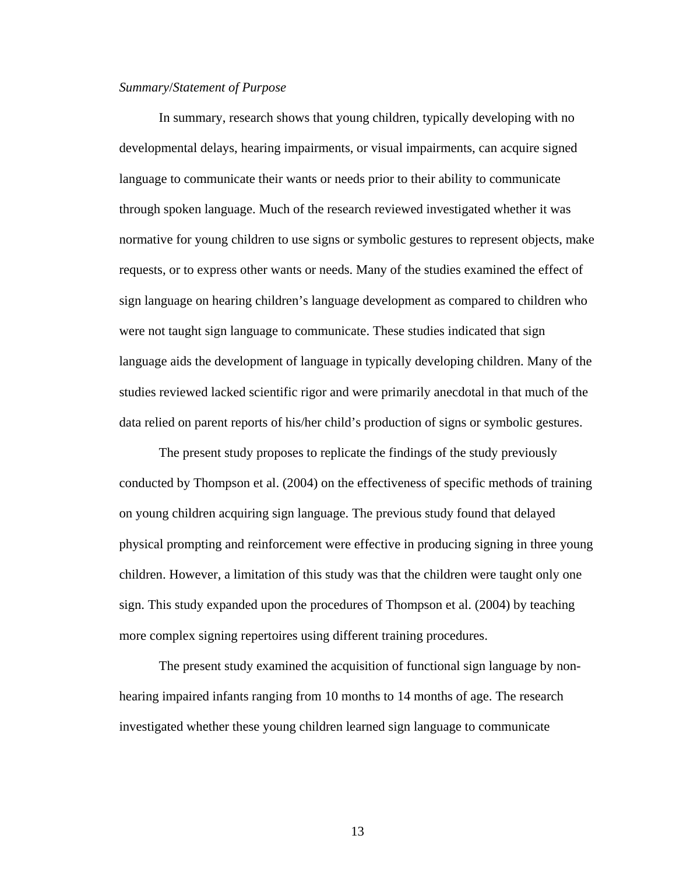#### *Summary*/*Statement of Purpose*

In summary, research shows that young children, typically developing with no developmental delays, hearing impairments, or visual impairments, can acquire signed language to communicate their wants or needs prior to their ability to communicate through spoken language. Much of the research reviewed investigated whether it was normative for young children to use signs or symbolic gestures to represent objects, make requests, or to express other wants or needs. Many of the studies examined the effect of sign language on hearing children's language development as compared to children who were not taught sign language to communicate. These studies indicated that sign language aids the development of language in typically developing children. Many of the studies reviewed lacked scientific rigor and were primarily anecdotal in that much of the data relied on parent reports of his/her child's production of signs or symbolic gestures.

The present study proposes to replicate the findings of the study previously conducted by Thompson et al. (2004) on the effectiveness of specific methods of training on young children acquiring sign language. The previous study found that delayed physical prompting and reinforcement were effective in producing signing in three young children. However, a limitation of this study was that the children were taught only one sign. This study expanded upon the procedures of Thompson et al. (2004) by teaching more complex signing repertoires using different training procedures.

The present study examined the acquisition of functional sign language by nonhearing impaired infants ranging from 10 months to 14 months of age. The research investigated whether these young children learned sign language to communicate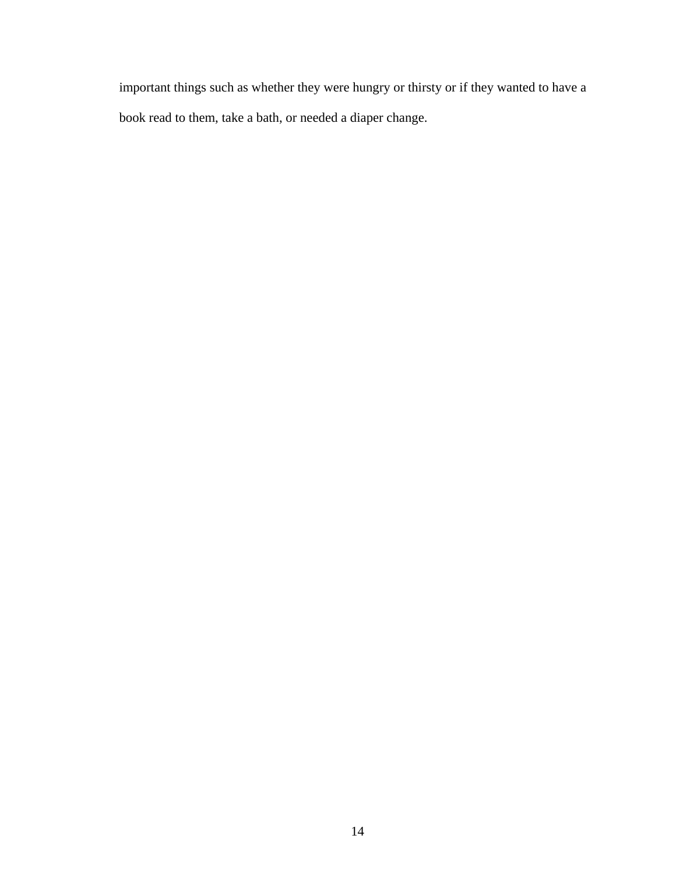important things such as whether they were hungry or thirsty or if they wanted to have a book read to them, take a bath, or needed a diaper change.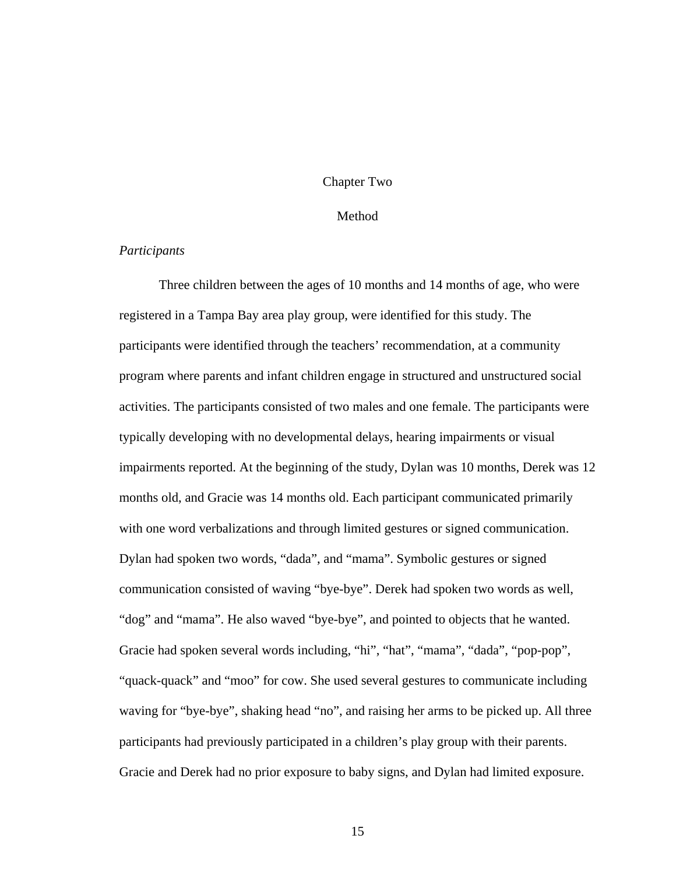#### Chapter Two

#### Method

#### *Participants*

Three children between the ages of 10 months and 14 months of age, who were registered in a Tampa Bay area play group, were identified for this study. The participants were identified through the teachers' recommendation, at a community program where parents and infant children engage in structured and unstructured social activities. The participants consisted of two males and one female. The participants were typically developing with no developmental delays, hearing impairments or visual impairments reported. At the beginning of the study, Dylan was 10 months, Derek was 12 months old, and Gracie was 14 months old. Each participant communicated primarily with one word verbalizations and through limited gestures or signed communication. Dylan had spoken two words, "dada", and "mama". Symbolic gestures or signed communication consisted of waving "bye-bye". Derek had spoken two words as well, "dog" and "mama". He also waved "bye-bye", and pointed to objects that he wanted. Gracie had spoken several words including, "hi", "hat", "mama", "dada", "pop-pop", "quack-quack" and "moo" for cow. She used several gestures to communicate including waving for "bye-bye", shaking head "no", and raising her arms to be picked up. All three participants had previously participated in a children's play group with their parents. Gracie and Derek had no prior exposure to baby signs, and Dylan had limited exposure.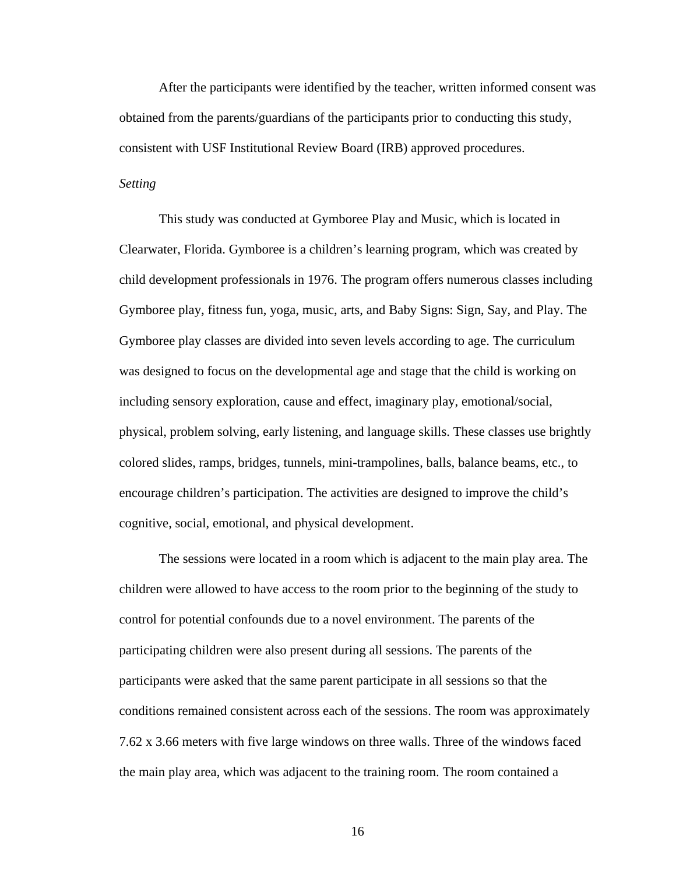After the participants were identified by the teacher, written informed consent was obtained from the parents/guardians of the participants prior to conducting this study, consistent with USF Institutional Review Board (IRB) approved procedures.

#### *Setting*

This study was conducted at Gymboree Play and Music, which is located in Clearwater, Florida. Gymboree is a children's learning program, which was created by child development professionals in 1976. The program offers numerous classes including Gymboree play, fitness fun, yoga, music, arts, and Baby Signs: Sign, Say, and Play. The Gymboree play classes are divided into seven levels according to age. The curriculum was designed to focus on the developmental age and stage that the child is working on including sensory exploration, cause and effect, imaginary play, emotional/social, physical, problem solving, early listening, and language skills. These classes use brightly colored slides, ramps, bridges, tunnels, mini-trampolines, balls, balance beams, etc., to encourage children's participation. The activities are designed to improve the child's cognitive, social, emotional, and physical development.

The sessions were located in a room which is adjacent to the main play area. The children were allowed to have access to the room prior to the beginning of the study to control for potential confounds due to a novel environment. The parents of the participating children were also present during all sessions. The parents of the participants were asked that the same parent participate in all sessions so that the conditions remained consistent across each of the sessions. The room was approximately 7.62 x 3.66 meters with five large windows on three walls. Three of the windows faced the main play area, which was adjacent to the training room. The room contained a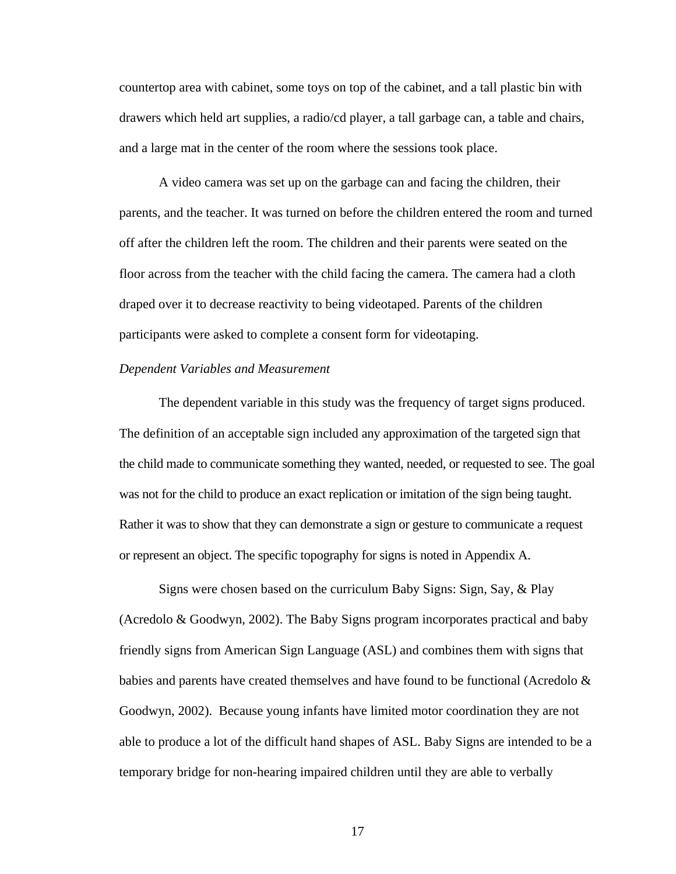countertop area with cabinet, some toys on top of the cabinet, and a tall plastic bin with drawers which held art supplies, a radio/cd player, a tall garbage can, a table and chairs, and a large mat in the center of the room where the sessions took place.

A video camera was set up on the garbage can and facing the children, their parents, and the teacher. It was turned on before the children entered the room and turned off after the children left the room. The children and their parents were seated on the floor across from the teacher with the child facing the camera. The camera had a cloth draped over it to decrease reactivity to being videotaped. Parents of the children participants were asked to complete a consent form for videotaping.

#### *Dependent Variables and Measurement*

The dependent variable in this study was the frequency of target signs produced. The definition of an acceptable sign included any approximation of the targeted sign that the child made to communicate something they wanted, needed, or requested to see. The goal was not for the child to produce an exact replication or imitation of the sign being taught. Rather it was to show that they can demonstrate a sign or gesture to communicate a request or represent an object. The specific topography for signs is noted in Appendix A.

Signs were chosen based on the curriculum Baby Signs: Sign, Say, & Play (Acredolo & Goodwyn, 2002). The Baby Signs program incorporates practical and baby friendly signs from American Sign Language (ASL) and combines them with signs that babies and parents have created themselves and have found to be functional (Acredolo  $\&$ Goodwyn, 2002). Because young infants have limited motor coordination they are not able to produce a lot of the difficult hand shapes of ASL. Baby Signs are intended to be a temporary bridge for non-hearing impaired children until they are able to verbally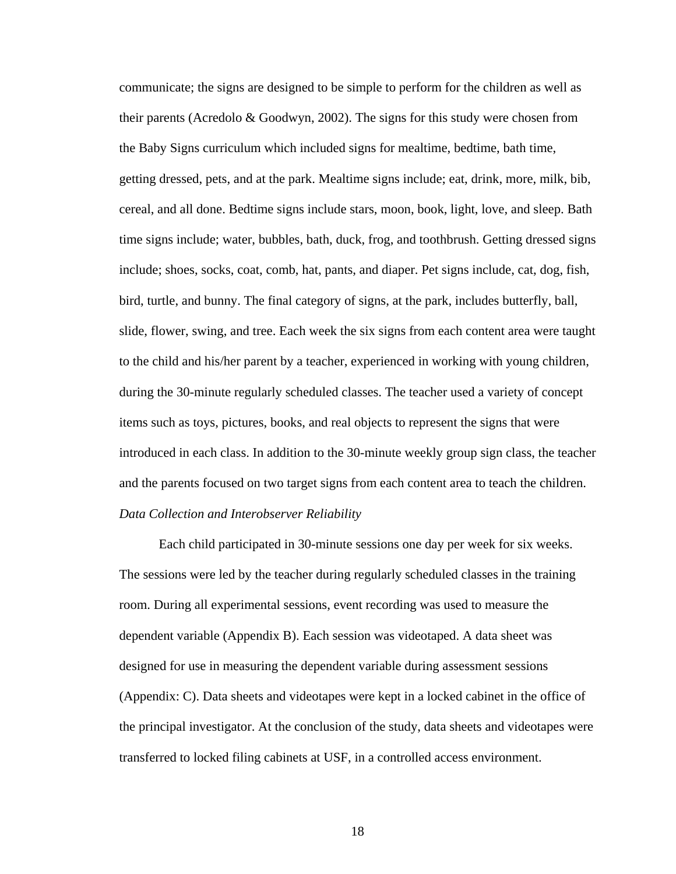communicate; the signs are designed to be simple to perform for the children as well as their parents (Acredolo & Goodwyn, 2002). The signs for this study were chosen from the Baby Signs curriculum which included signs for mealtime, bedtime, bath time, getting dressed, pets, and at the park. Mealtime signs include; eat, drink, more, milk, bib, cereal, and all done. Bedtime signs include stars, moon, book, light, love, and sleep. Bath time signs include; water, bubbles, bath, duck, frog, and toothbrush. Getting dressed signs include; shoes, socks, coat, comb, hat, pants, and diaper. Pet signs include, cat, dog, fish, bird, turtle, and bunny. The final category of signs, at the park, includes butterfly, ball, slide, flower, swing, and tree. Each week the six signs from each content area were taught to the child and his/her parent by a teacher, experienced in working with young children, during the 30-minute regularly scheduled classes. The teacher used a variety of concept items such as toys, pictures, books, and real objects to represent the signs that were introduced in each class. In addition to the 30-minute weekly group sign class, the teacher and the parents focused on two target signs from each content area to teach the children. *Data Collection and Interobserver Reliability* 

Each child participated in 30-minute sessions one day per week for six weeks. The sessions were led by the teacher during regularly scheduled classes in the training room. During all experimental sessions, event recording was used to measure the dependent variable (Appendix B). Each session was videotaped. A data sheet was designed for use in measuring the dependent variable during assessment sessions (Appendix: C). Data sheets and videotapes were kept in a locked cabinet in the office of the principal investigator. At the conclusion of the study, data sheets and videotapes were transferred to locked filing cabinets at USF, in a controlled access environment.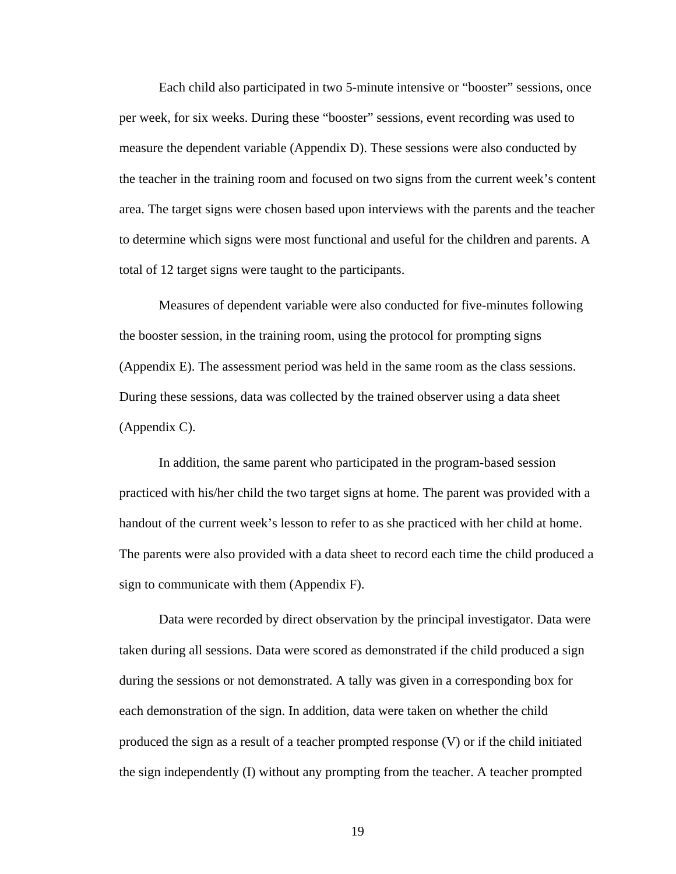Each child also participated in two 5-minute intensive or "booster" sessions, once per week, for six weeks. During these "booster" sessions, event recording was used to measure the dependent variable (Appendix D). These sessions were also conducted by the teacher in the training room and focused on two signs from the current week's content area. The target signs were chosen based upon interviews with the parents and the teacher to determine which signs were most functional and useful for the children and parents. A total of 12 target signs were taught to the participants.

Measures of dependent variable were also conducted for five-minutes following the booster session, in the training room, using the protocol for prompting signs (Appendix E). The assessment period was held in the same room as the class sessions. During these sessions, data was collected by the trained observer using a data sheet (Appendix C).

In addition, the same parent who participated in the program-based session practiced with his/her child the two target signs at home. The parent was provided with a handout of the current week's lesson to refer to as she practiced with her child at home. The parents were also provided with a data sheet to record each time the child produced a sign to communicate with them (Appendix F).

Data were recorded by direct observation by the principal investigator. Data were taken during all sessions. Data were scored as demonstrated if the child produced a sign during the sessions or not demonstrated. A tally was given in a corresponding box for each demonstration of the sign. In addition, data were taken on whether the child produced the sign as a result of a teacher prompted response (V) or if the child initiated the sign independently (I) without any prompting from the teacher. A teacher prompted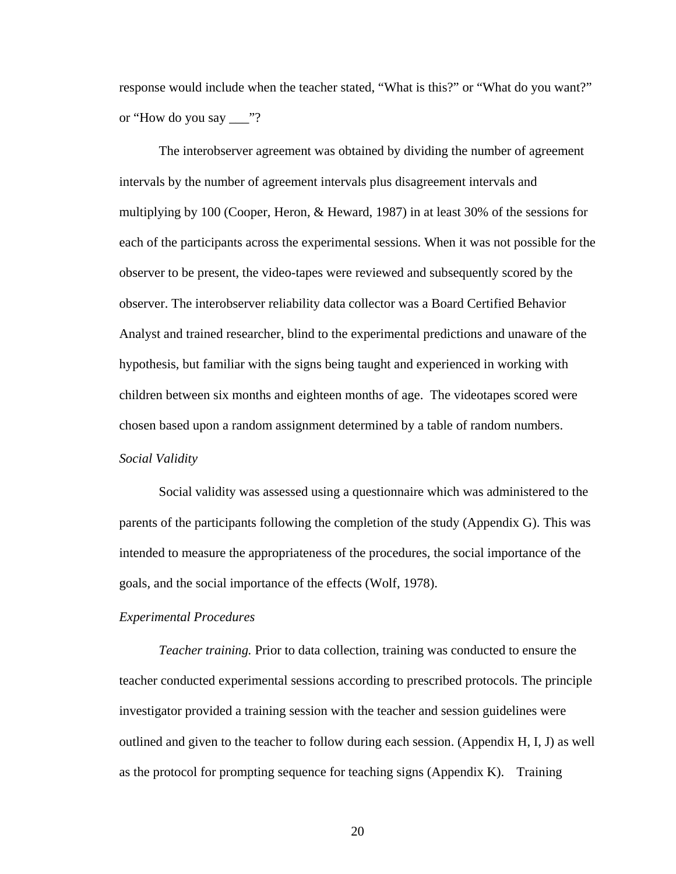response would include when the teacher stated, "What is this?" or "What do you want?" or "How do you say \_\_\_"?

The interobserver agreement was obtained by dividing the number of agreement intervals by the number of agreement intervals plus disagreement intervals and multiplying by 100 (Cooper, Heron, & Heward, 1987) in at least 30% of the sessions for each of the participants across the experimental sessions. When it was not possible for the observer to be present, the video-tapes were reviewed and subsequently scored by the observer. The interobserver reliability data collector was a Board Certified Behavior Analyst and trained researcher, blind to the experimental predictions and unaware of the hypothesis, but familiar with the signs being taught and experienced in working with children between six months and eighteen months of age. The videotapes scored were chosen based upon a random assignment determined by a table of random numbers. *Social Validity* 

Social validity was assessed using a questionnaire which was administered to the parents of the participants following the completion of the study (Appendix G). This was intended to measure the appropriateness of the procedures, the social importance of the goals, and the social importance of the effects (Wolf, 1978).

#### *Experimental Procedures*

 *Teacher training.* Prior to data collection, training was conducted to ensure the teacher conducted experimental sessions according to prescribed protocols. The principle investigator provided a training session with the teacher and session guidelines were outlined and given to the teacher to follow during each session. (Appendix H, I, J) as well as the protocol for prompting sequence for teaching signs (Appendix K). Training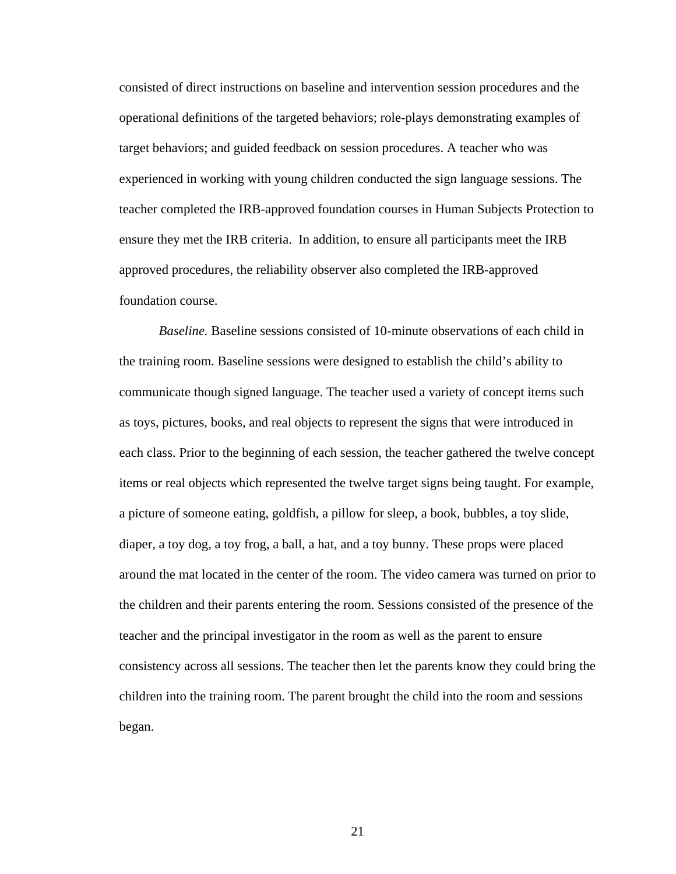consisted of direct instructions on baseline and intervention session procedures and the operational definitions of the targeted behaviors; role-plays demonstrating examples of target behaviors; and guided feedback on session procedures. A teacher who was experienced in working with young children conducted the sign language sessions. The teacher completed the IRB-approved foundation courses in Human Subjects Protection to ensure they met the IRB criteria. In addition, to ensure all participants meet the IRB approved procedures, the reliability observer also completed the IRB-approved foundation course.

*Baseline.* Baseline sessions consisted of 10-minute observations of each child in the training room. Baseline sessions were designed to establish the child's ability to communicate though signed language. The teacher used a variety of concept items such as toys, pictures, books, and real objects to represent the signs that were introduced in each class. Prior to the beginning of each session, the teacher gathered the twelve concept items or real objects which represented the twelve target signs being taught. For example, a picture of someone eating, goldfish, a pillow for sleep, a book, bubbles, a toy slide, diaper, a toy dog, a toy frog, a ball, a hat, and a toy bunny. These props were placed around the mat located in the center of the room. The video camera was turned on prior to the children and their parents entering the room. Sessions consisted of the presence of the teacher and the principal investigator in the room as well as the parent to ensure consistency across all sessions. The teacher then let the parents know they could bring the children into the training room. The parent brought the child into the room and sessions began.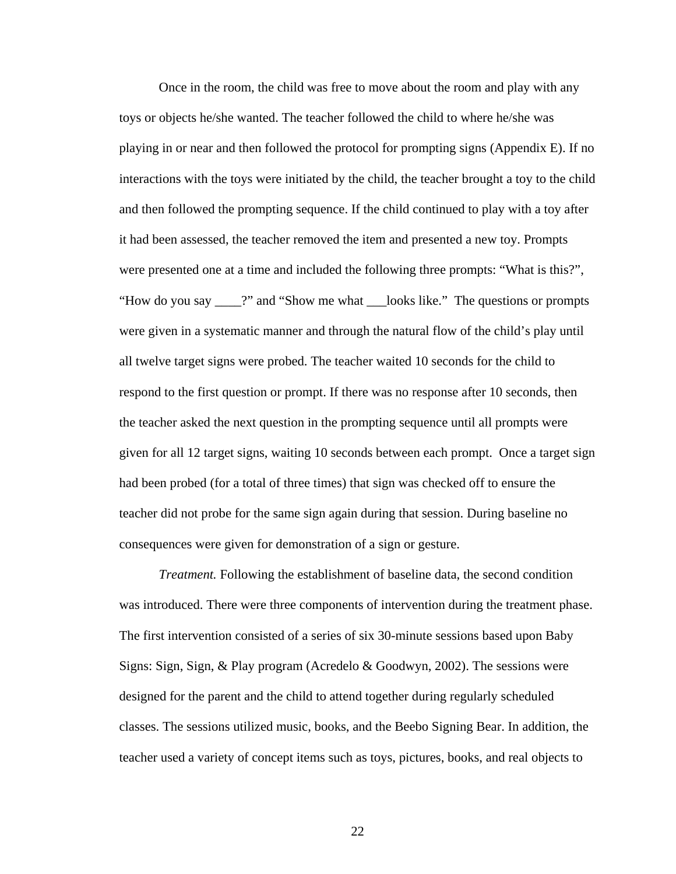Once in the room, the child was free to move about the room and play with any toys or objects he/she wanted. The teacher followed the child to where he/she was playing in or near and then followed the protocol for prompting signs (Appendix E). If no interactions with the toys were initiated by the child, the teacher brought a toy to the child and then followed the prompting sequence. If the child continued to play with a toy after it had been assessed, the teacher removed the item and presented a new toy. Prompts were presented one at a time and included the following three prompts: "What is this?", "How do you say \_\_\_\_?" and "Show me what \_\_\_looks like." The questions or prompts were given in a systematic manner and through the natural flow of the child's play until all twelve target signs were probed. The teacher waited 10 seconds for the child to respond to the first question or prompt. If there was no response after 10 seconds, then the teacher asked the next question in the prompting sequence until all prompts were given for all 12 target signs, waiting 10 seconds between each prompt. Once a target sign had been probed (for a total of three times) that sign was checked off to ensure the teacher did not probe for the same sign again during that session. During baseline no consequences were given for demonstration of a sign or gesture.

*Treatment.* Following the establishment of baseline data, the second condition was introduced. There were three components of intervention during the treatment phase. The first intervention consisted of a series of six 30-minute sessions based upon Baby Signs: Sign, Sign, & Play program (Acredelo & Goodwyn, 2002). The sessions were designed for the parent and the child to attend together during regularly scheduled classes. The sessions utilized music, books, and the Beebo Signing Bear. In addition, the teacher used a variety of concept items such as toys, pictures, books, and real objects to

<u>22</u>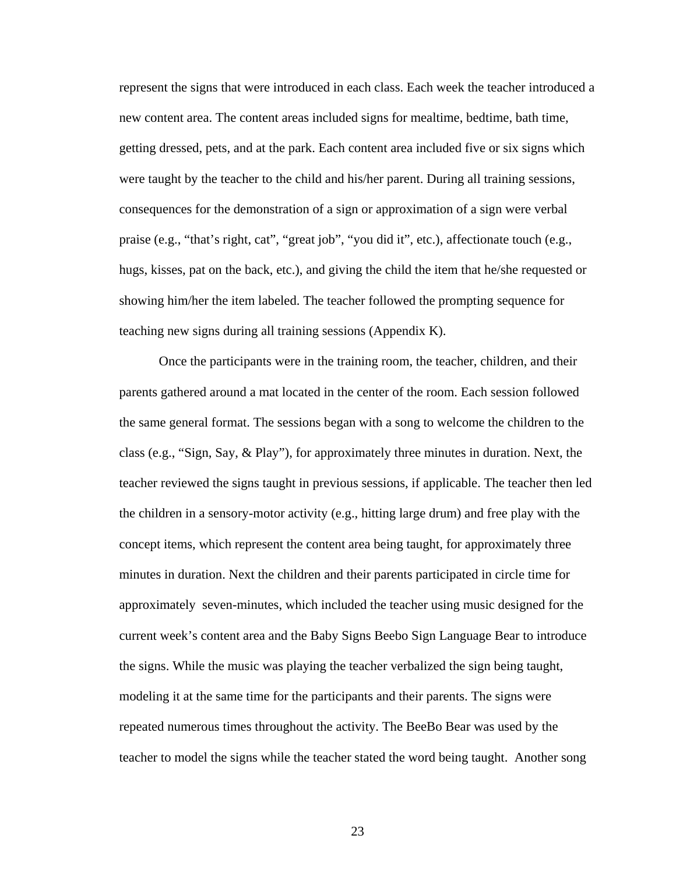represent the signs that were introduced in each class. Each week the teacher introduced a new content area. The content areas included signs for mealtime, bedtime, bath time, getting dressed, pets, and at the park. Each content area included five or six signs which were taught by the teacher to the child and his/her parent. During all training sessions, consequences for the demonstration of a sign or approximation of a sign were verbal praise (e.g., "that's right, cat", "great job", "you did it", etc.), affectionate touch (e.g., hugs, kisses, pat on the back, etc.), and giving the child the item that he/she requested or showing him/her the item labeled. The teacher followed the prompting sequence for teaching new signs during all training sessions (Appendix K).

Once the participants were in the training room, the teacher, children, and their parents gathered around a mat located in the center of the room. Each session followed the same general format. The sessions began with a song to welcome the children to the class (e.g., "Sign, Say, & Play"), for approximately three minutes in duration. Next, the teacher reviewed the signs taught in previous sessions, if applicable. The teacher then led the children in a sensory-motor activity (e.g., hitting large drum) and free play with the concept items, which represent the content area being taught, for approximately three minutes in duration. Next the children and their parents participated in circle time for approximately seven-minutes, which included the teacher using music designed for the current week's content area and the Baby Signs Beebo Sign Language Bear to introduce the signs. While the music was playing the teacher verbalized the sign being taught, modeling it at the same time for the participants and their parents. The signs were repeated numerous times throughout the activity. The BeeBo Bear was used by the teacher to model the signs while the teacher stated the word being taught. Another song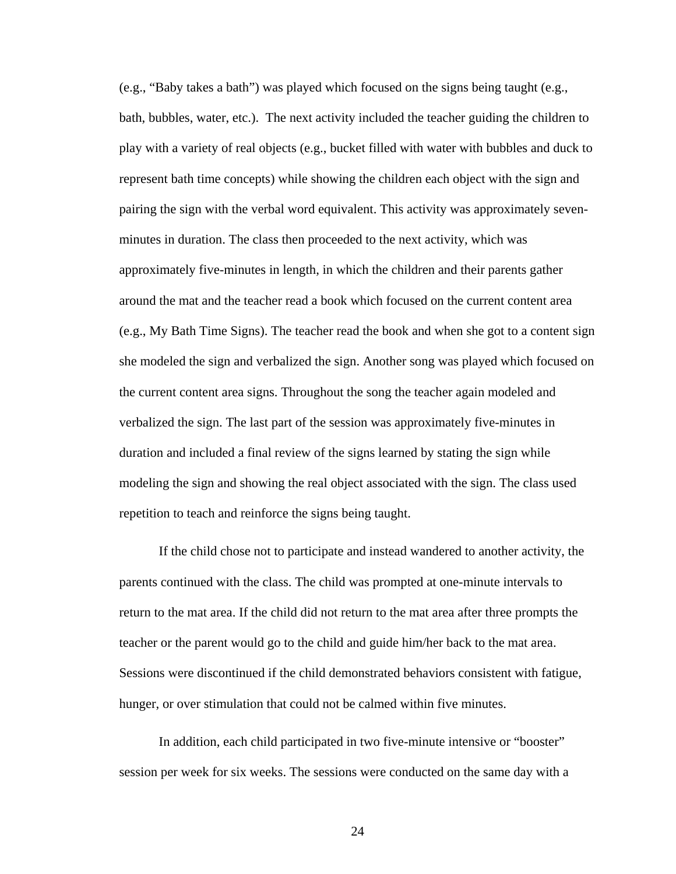(e.g., "Baby takes a bath") was played which focused on the signs being taught (e.g., bath, bubbles, water, etc.). The next activity included the teacher guiding the children to play with a variety of real objects (e.g., bucket filled with water with bubbles and duck to represent bath time concepts) while showing the children each object with the sign and pairing the sign with the verbal word equivalent. This activity was approximately sevenminutes in duration. The class then proceeded to the next activity, which was approximately five-minutes in length, in which the children and their parents gather around the mat and the teacher read a book which focused on the current content area (e.g., My Bath Time Signs). The teacher read the book and when she got to a content sign she modeled the sign and verbalized the sign. Another song was played which focused on the current content area signs. Throughout the song the teacher again modeled and verbalized the sign. The last part of the session was approximately five-minutes in duration and included a final review of the signs learned by stating the sign while modeling the sign and showing the real object associated with the sign. The class used repetition to teach and reinforce the signs being taught.

If the child chose not to participate and instead wandered to another activity, the parents continued with the class. The child was prompted at one-minute intervals to return to the mat area. If the child did not return to the mat area after three prompts the teacher or the parent would go to the child and guide him/her back to the mat area. Sessions were discontinued if the child demonstrated behaviors consistent with fatigue, hunger, or over stimulation that could not be calmed within five minutes.

In addition, each child participated in two five-minute intensive or "booster" session per week for six weeks. The sessions were conducted on the same day with a

24 and 24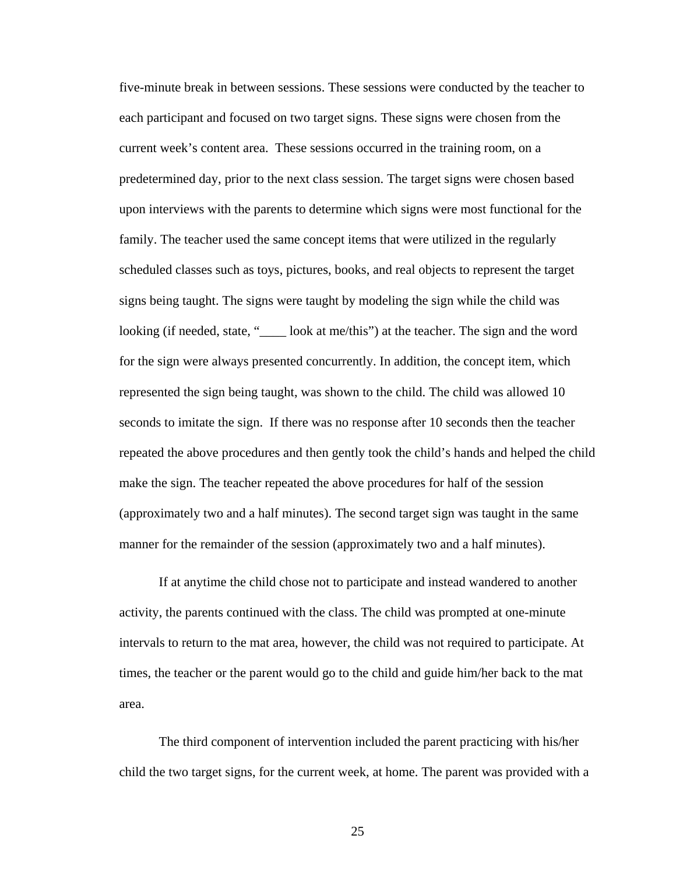five-minute break in between sessions. These sessions were conducted by the teacher to each participant and focused on two target signs. These signs were chosen from the current week's content area. These sessions occurred in the training room, on a predetermined day, prior to the next class session. The target signs were chosen based upon interviews with the parents to determine which signs were most functional for the family. The teacher used the same concept items that were utilized in the regularly scheduled classes such as toys, pictures, books, and real objects to represent the target signs being taught. The signs were taught by modeling the sign while the child was looking (if needed, state, "
section look at me/this") at the teacher. The sign and the word for the sign were always presented concurrently. In addition, the concept item, which represented the sign being taught, was shown to the child. The child was allowed 10 seconds to imitate the sign. If there was no response after 10 seconds then the teacher repeated the above procedures and then gently took the child's hands and helped the child make the sign. The teacher repeated the above procedures for half of the session (approximately two and a half minutes). The second target sign was taught in the same manner for the remainder of the session (approximately two and a half minutes).

If at anytime the child chose not to participate and instead wandered to another activity, the parents continued with the class. The child was prompted at one-minute intervals to return to the mat area, however, the child was not required to participate. At times, the teacher or the parent would go to the child and guide him/her back to the mat area.

The third component of intervention included the parent practicing with his/her child the two target signs, for the current week, at home. The parent was provided with a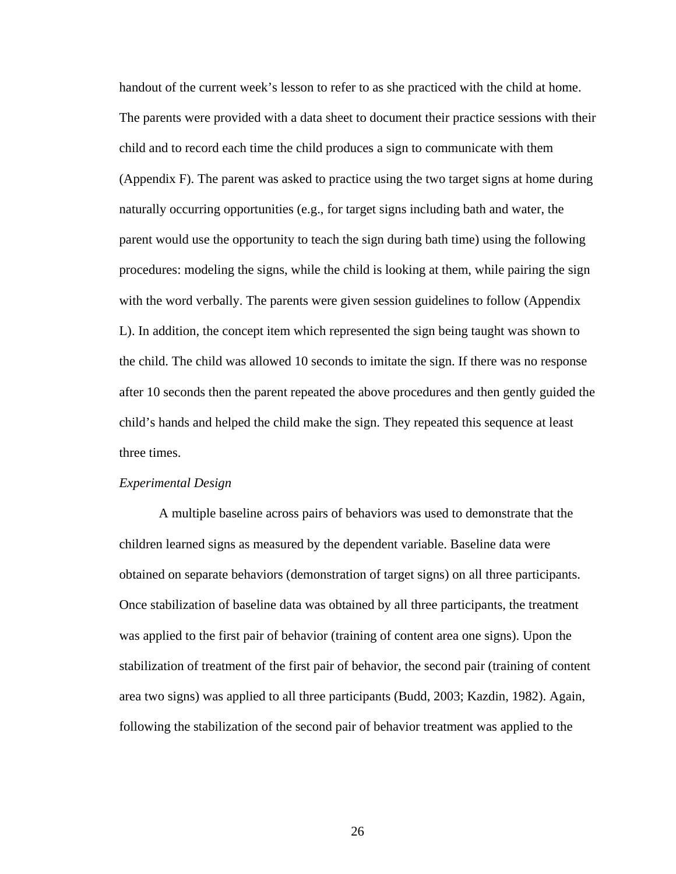handout of the current week's lesson to refer to as she practiced with the child at home. The parents were provided with a data sheet to document their practice sessions with their child and to record each time the child produces a sign to communicate with them (Appendix F). The parent was asked to practice using the two target signs at home during naturally occurring opportunities (e.g., for target signs including bath and water, the parent would use the opportunity to teach the sign during bath time) using the following procedures: modeling the signs, while the child is looking at them, while pairing the sign with the word verbally. The parents were given session guidelines to follow (Appendix L). In addition, the concept item which represented the sign being taught was shown to the child. The child was allowed 10 seconds to imitate the sign. If there was no response after 10 seconds then the parent repeated the above procedures and then gently guided the child's hands and helped the child make the sign. They repeated this sequence at least three times.

#### *Experimental Design*

A multiple baseline across pairs of behaviors was used to demonstrate that the children learned signs as measured by the dependent variable. Baseline data were obtained on separate behaviors (demonstration of target signs) on all three participants. Once stabilization of baseline data was obtained by all three participants, the treatment was applied to the first pair of behavior (training of content area one signs). Upon the stabilization of treatment of the first pair of behavior, the second pair (training of content area two signs) was applied to all three participants (Budd, 2003; Kazdin, 1982). Again, following the stabilization of the second pair of behavior treatment was applied to the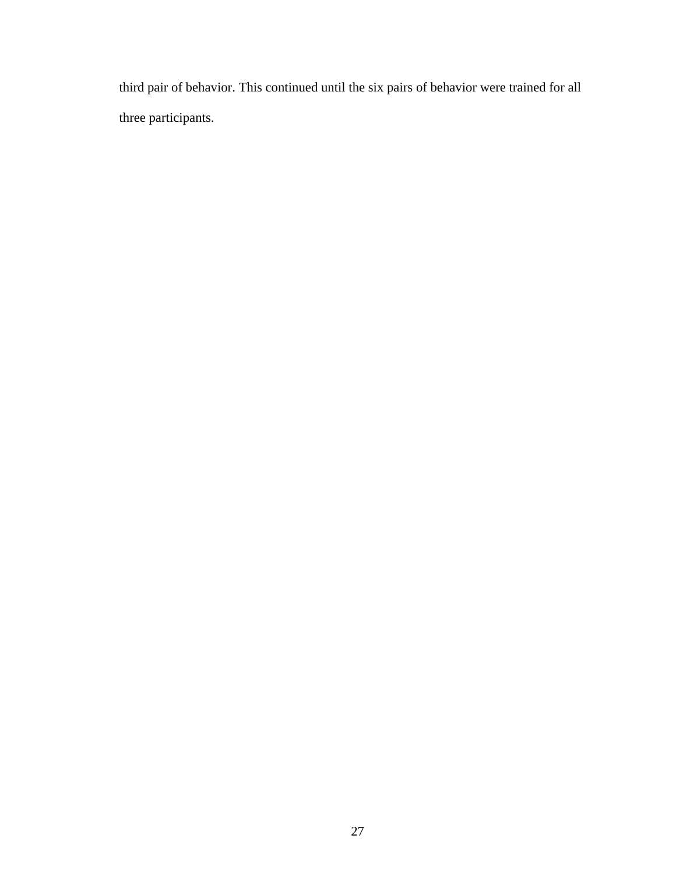third pair of behavior. This continued until the six pairs of behavior were trained for all three participants.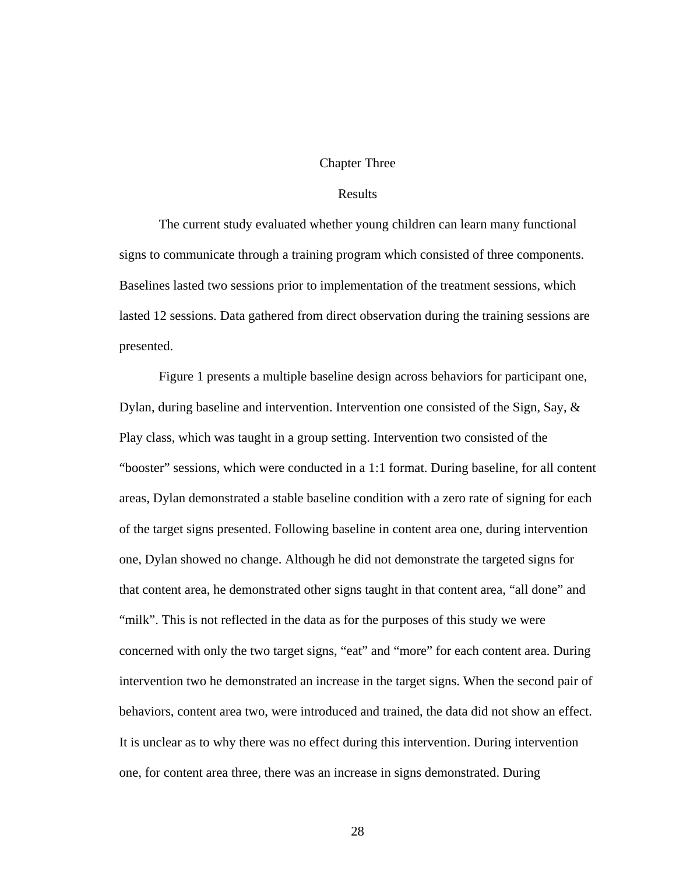#### Chapter Three

## Results

The current study evaluated whether young children can learn many functional signs to communicate through a training program which consisted of three components. Baselines lasted two sessions prior to implementation of the treatment sessions, which lasted 12 sessions. Data gathered from direct observation during the training sessions are presented.

Figure 1 presents a multiple baseline design across behaviors for participant one, Dylan, during baseline and intervention. Intervention one consisted of the Sign, Say, & Play class, which was taught in a group setting. Intervention two consisted of the "booster" sessions, which were conducted in a 1:1 format. During baseline, for all content areas, Dylan demonstrated a stable baseline condition with a zero rate of signing for each of the target signs presented. Following baseline in content area one, during intervention one, Dylan showed no change. Although he did not demonstrate the targeted signs for that content area, he demonstrated other signs taught in that content area, "all done" and "milk". This is not reflected in the data as for the purposes of this study we were concerned with only the two target signs, "eat" and "more" for each content area. During intervention two he demonstrated an increase in the target signs. When the second pair of behaviors, content area two, were introduced and trained, the data did not show an effect. It is unclear as to why there was no effect during this intervention. During intervention one, for content area three, there was an increase in signs demonstrated. During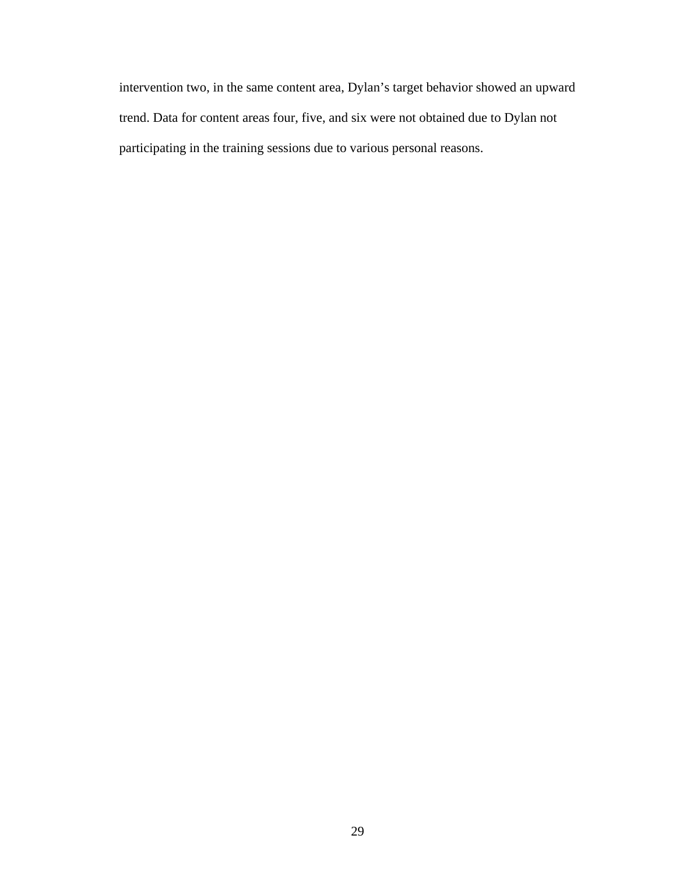intervention two, in the same content area, Dylan's target behavior showed an upward trend. Data for content areas four, five, and six were not obtained due to Dylan not participating in the training sessions due to various personal reasons.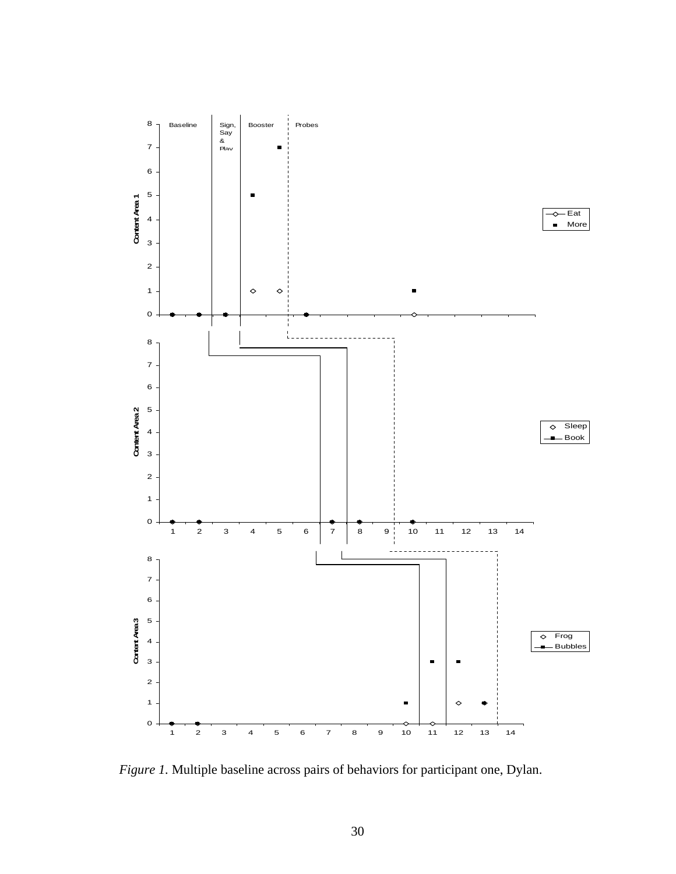

*Figure 1.* Multiple baseline across pairs of behaviors for participant one, Dylan.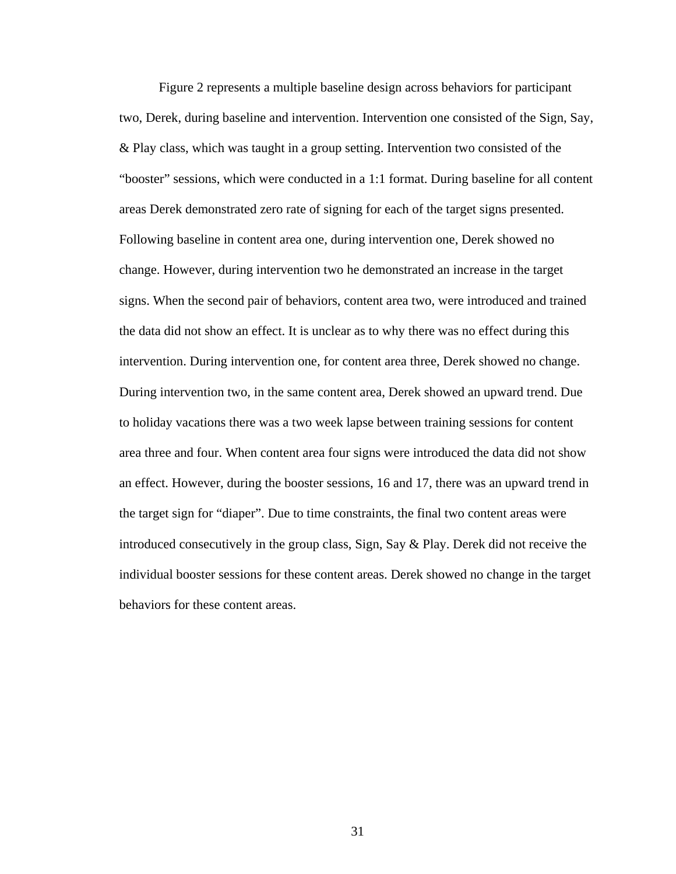Figure 2 represents a multiple baseline design across behaviors for participant two, Derek, during baseline and intervention. Intervention one consisted of the Sign, Say, & Play class, which was taught in a group setting. Intervention two consisted of the "booster" sessions, which were conducted in a 1:1 format. During baseline for all content areas Derek demonstrated zero rate of signing for each of the target signs presented. Following baseline in content area one, during intervention one, Derek showed no change. However, during intervention two he demonstrated an increase in the target signs. When the second pair of behaviors, content area two, were introduced and trained the data did not show an effect. It is unclear as to why there was no effect during this intervention. During intervention one, for content area three, Derek showed no change. During intervention two, in the same content area, Derek showed an upward trend. Due to holiday vacations there was a two week lapse between training sessions for content area three and four. When content area four signs were introduced the data did not show an effect. However, during the booster sessions, 16 and 17, there was an upward trend in the target sign for "diaper". Due to time constraints, the final two content areas were introduced consecutively in the group class, Sign, Say & Play. Derek did not receive the individual booster sessions for these content areas. Derek showed no change in the target behaviors for these content areas.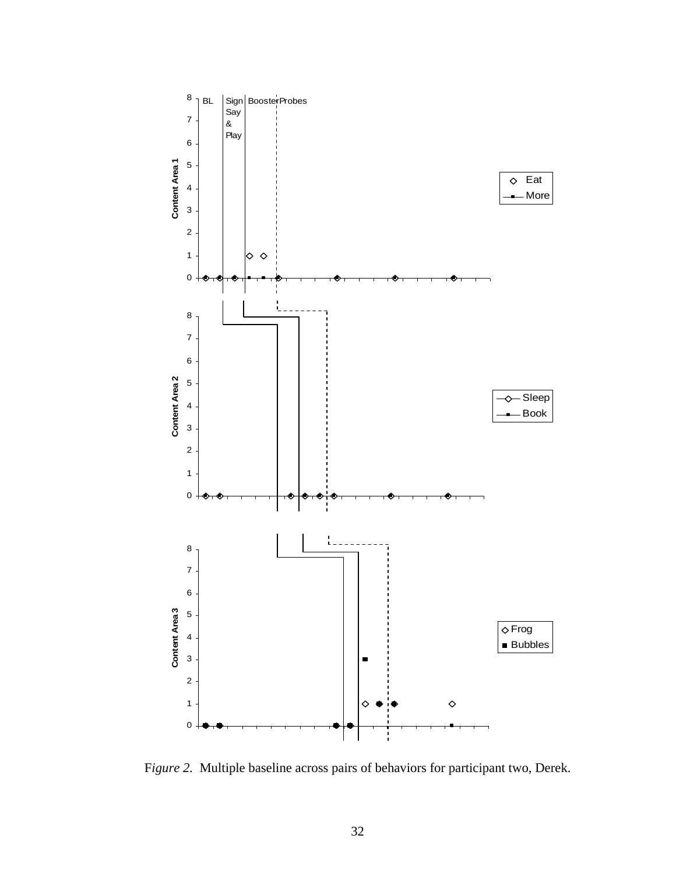

F*igure 2.* Multiple baseline across pairs of behaviors for participant two, Derek.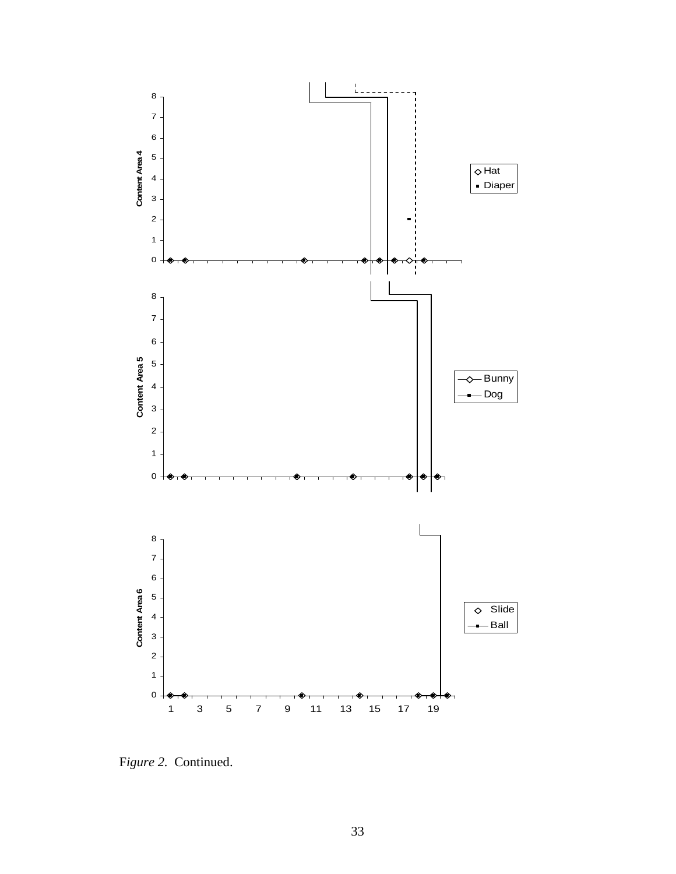

F*igure 2.* Continued.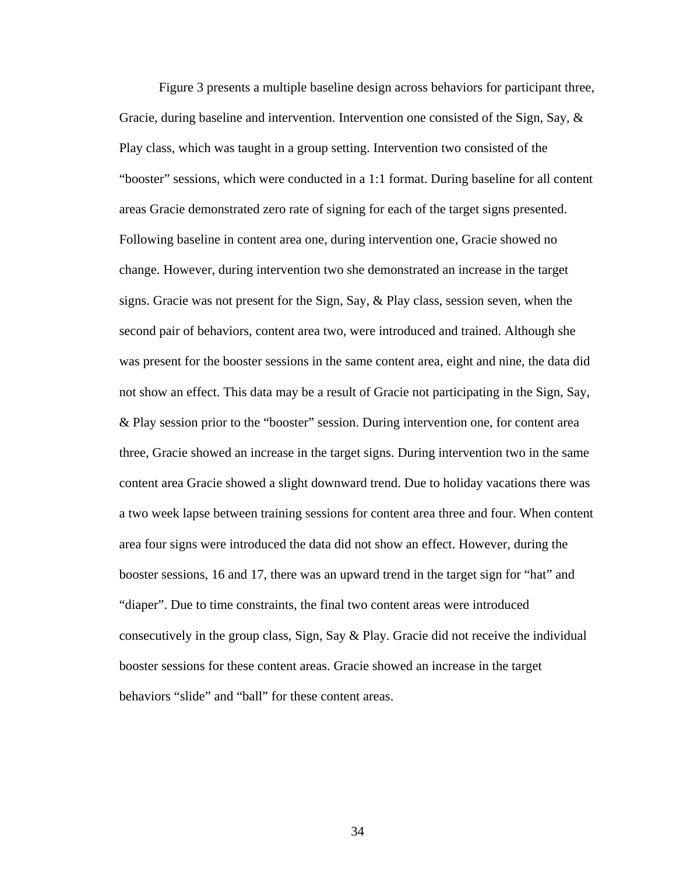Figure 3 presents a multiple baseline design across behaviors for participant three, Gracie, during baseline and intervention. Intervention one consisted of the Sign, Say,  $\&$ Play class, which was taught in a group setting. Intervention two consisted of the "booster" sessions, which were conducted in a 1:1 format. During baseline for all content areas Gracie demonstrated zero rate of signing for each of the target signs presented. Following baseline in content area one, during intervention one, Gracie showed no change. However, during intervention two she demonstrated an increase in the target signs. Gracie was not present for the Sign, Say, & Play class, session seven, when the second pair of behaviors, content area two, were introduced and trained. Although she was present for the booster sessions in the same content area, eight and nine, the data did not show an effect. This data may be a result of Gracie not participating in the Sign, Say, & Play session prior to the "booster" session. During intervention one, for content area three, Gracie showed an increase in the target signs. During intervention two in the same content area Gracie showed a slight downward trend. Due to holiday vacations there was a two week lapse between training sessions for content area three and four. When content area four signs were introduced the data did not show an effect. However, during the booster sessions, 16 and 17, there was an upward trend in the target sign for "hat" and "diaper". Due to time constraints, the final two content areas were introduced consecutively in the group class, Sign, Say & Play. Gracie did not receive the individual booster sessions for these content areas. Gracie showed an increase in the target behaviors "slide" and "ball" for these content areas.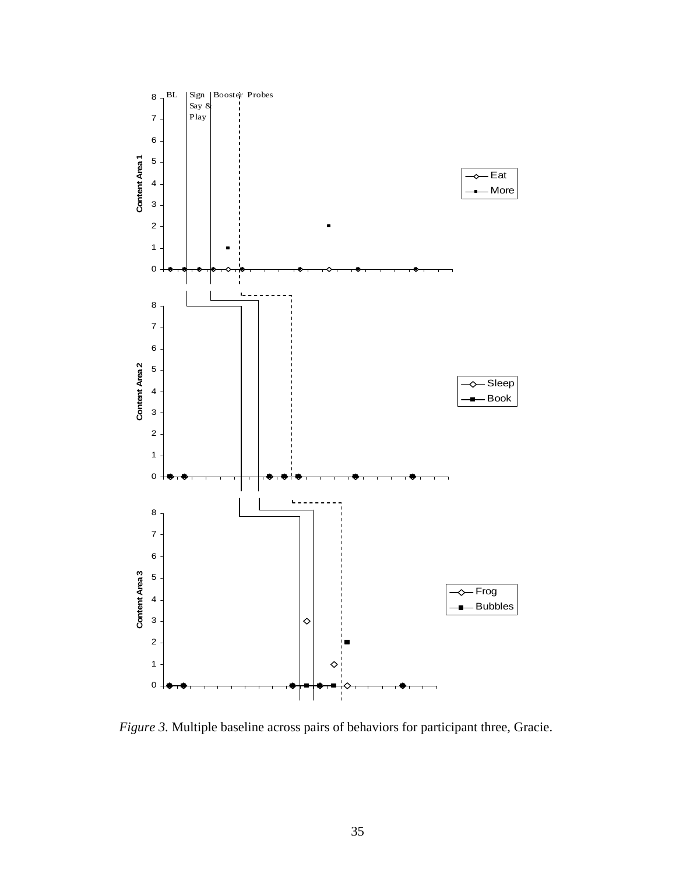

*Figure 3.* Multiple baseline across pairs of behaviors for participant three, Gracie.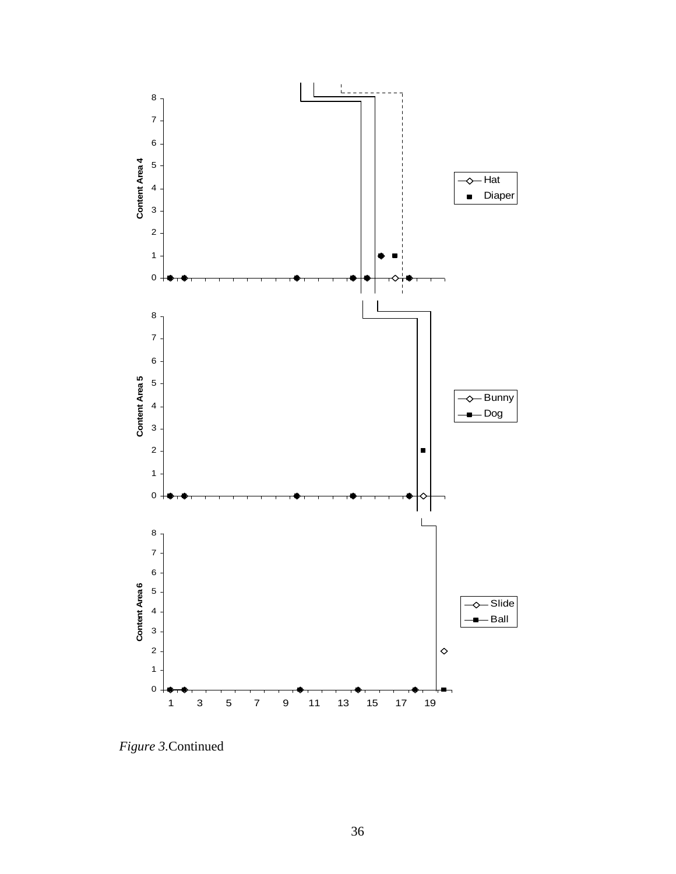

*Figure 3.*Continued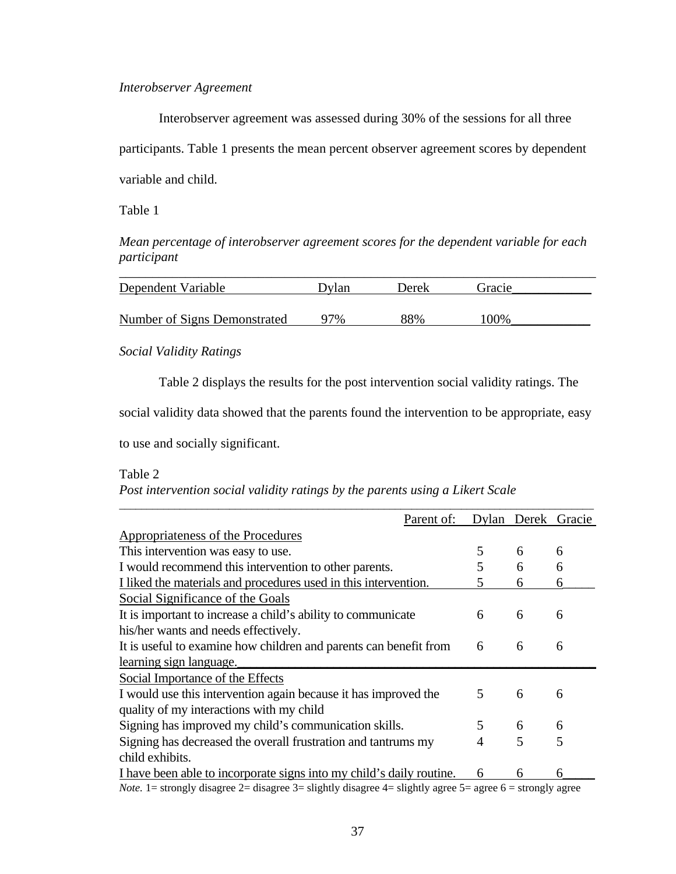#### *Interobserver Agreement*

Interobserver agreement was assessed during 30% of the sessions for all three participants. Table 1 presents the mean percent observer agreement scores by dependent variable and child.

Table 1

*Mean percentage of interobserver agreement scores for the dependent variable for each participant* 

| Dependent Variable           | Dvlan | Derek | Gracie |  |
|------------------------------|-------|-------|--------|--|
|                              |       |       |        |  |
| Number of Signs Demonstrated | 97%   | 88%   | 100%   |  |

*Social Validity Ratings* 

Table 2 displays the results for the post intervention social validity ratings. The

social validity data showed that the parents found the intervention to be appropriate, easy

to use and socially significant.

Table 2

*Post intervention social validity ratings by the parents using a Likert Scale* 

|                                                                                                                   | Parent of: |   |   | Dylan Derek Gracie |
|-------------------------------------------------------------------------------------------------------------------|------------|---|---|--------------------|
| Appropriateness of the Procedures                                                                                 |            |   |   |                    |
| This intervention was easy to use.                                                                                |            | 5 | 6 | 6                  |
| I would recommend this intervention to other parents.                                                             |            | 5 | 6 | 6                  |
| I liked the materials and procedures used in this intervention.                                                   |            | 5 | 6 | 6                  |
| Social Significance of the Goals                                                                                  |            |   |   |                    |
| It is important to increase a child's ability to communicate                                                      |            | 6 | 6 | 6                  |
| his/her wants and needs effectively.                                                                              |            |   |   |                    |
| It is useful to examine how children and parents can benefit from                                                 |            | 6 | 6 | 6                  |
| learning sign language.                                                                                           |            |   |   |                    |
| Social Importance of the Effects                                                                                  |            |   |   |                    |
| I would use this intervention again because it has improved the                                                   |            | 5 | 6 | 6                  |
| quality of my interactions with my child                                                                          |            |   |   |                    |
| Signing has improved my child's communication skills.                                                             |            | 5 | 6 | 6                  |
| Signing has decreased the overall frustration and tantrums my                                                     |            | 4 | 5 | 5                  |
| child exhibits.                                                                                                   |            |   |   |                    |
| I have been able to incorporate signs into my child's daily routine.                                              |            | 6 | 6 | 6                  |
| <i>Note</i> . 1= strongly disagree 2= disagree 3= slightly disagree 4= slightly agree 5= agree 6 = strongly agree |            |   |   |                    |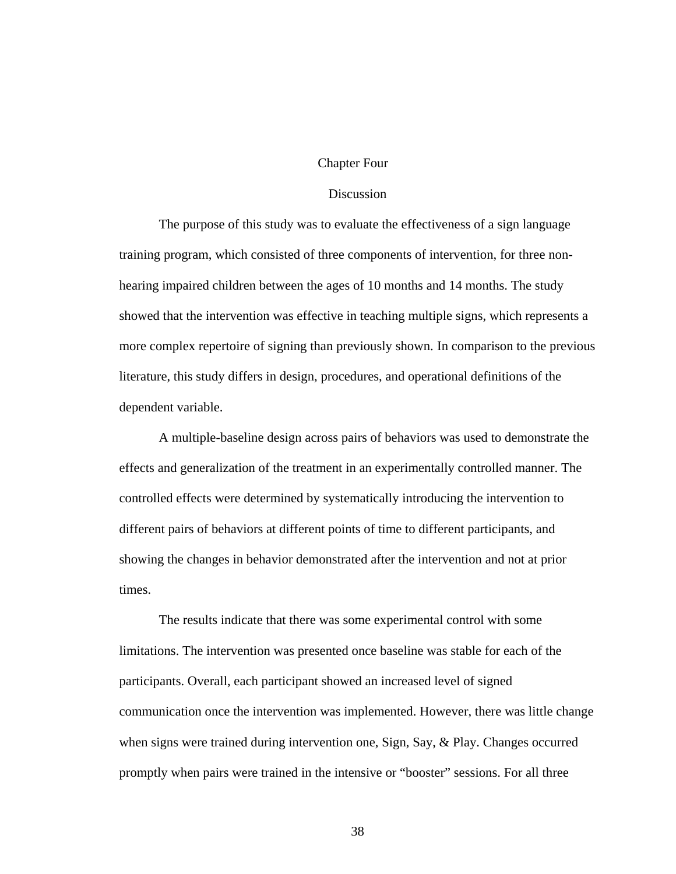#### Chapter Four

## **Discussion**

The purpose of this study was to evaluate the effectiveness of a sign language training program, which consisted of three components of intervention, for three nonhearing impaired children between the ages of 10 months and 14 months. The study showed that the intervention was effective in teaching multiple signs, which represents a more complex repertoire of signing than previously shown. In comparison to the previous literature, this study differs in design, procedures, and operational definitions of the dependent variable.

A multiple-baseline design across pairs of behaviors was used to demonstrate the effects and generalization of the treatment in an experimentally controlled manner. The controlled effects were determined by systematically introducing the intervention to different pairs of behaviors at different points of time to different participants, and showing the changes in behavior demonstrated after the intervention and not at prior times.

The results indicate that there was some experimental control with some limitations. The intervention was presented once baseline was stable for each of the participants. Overall, each participant showed an increased level of signed communication once the intervention was implemented. However, there was little change when signs were trained during intervention one, Sign, Say, & Play. Changes occurred promptly when pairs were trained in the intensive or "booster" sessions. For all three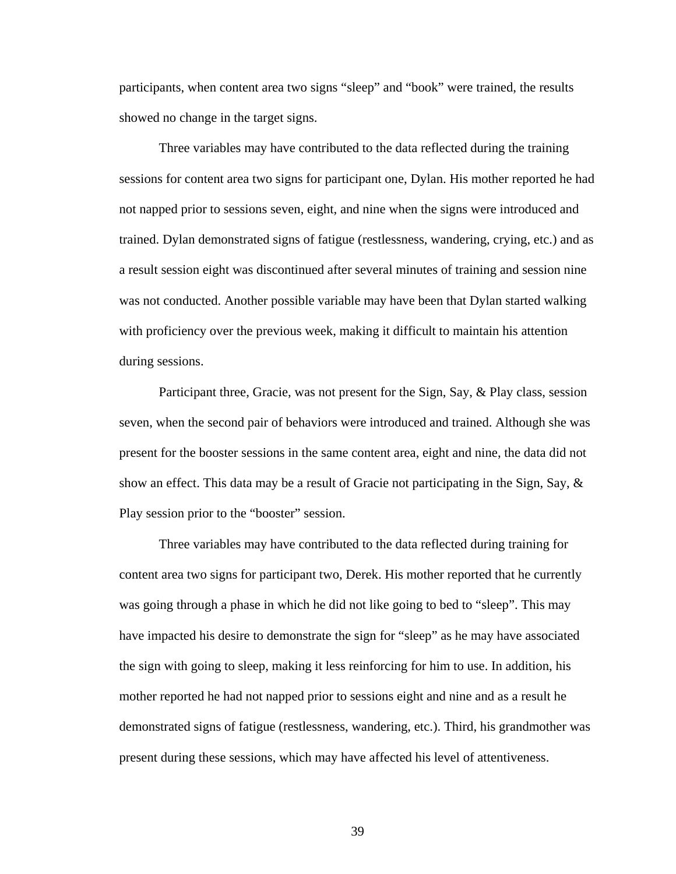participants, when content area two signs "sleep" and "book" were trained, the results showed no change in the target signs.

Three variables may have contributed to the data reflected during the training sessions for content area two signs for participant one, Dylan. His mother reported he had not napped prior to sessions seven, eight, and nine when the signs were introduced and trained. Dylan demonstrated signs of fatigue (restlessness, wandering, crying, etc.) and as a result session eight was discontinued after several minutes of training and session nine was not conducted. Another possible variable may have been that Dylan started walking with proficiency over the previous week, making it difficult to maintain his attention during sessions.

Participant three, Gracie, was not present for the Sign, Say, & Play class, session seven, when the second pair of behaviors were introduced and trained. Although she was present for the booster sessions in the same content area, eight and nine, the data did not show an effect. This data may be a result of Gracie not participating in the Sign, Say,  $\&$ Play session prior to the "booster" session.

Three variables may have contributed to the data reflected during training for content area two signs for participant two, Derek. His mother reported that he currently was going through a phase in which he did not like going to bed to "sleep". This may have impacted his desire to demonstrate the sign for "sleep" as he may have associated the sign with going to sleep, making it less reinforcing for him to use. In addition, his mother reported he had not napped prior to sessions eight and nine and as a result he demonstrated signs of fatigue (restlessness, wandering, etc.). Third, his grandmother was present during these sessions, which may have affected his level of attentiveness.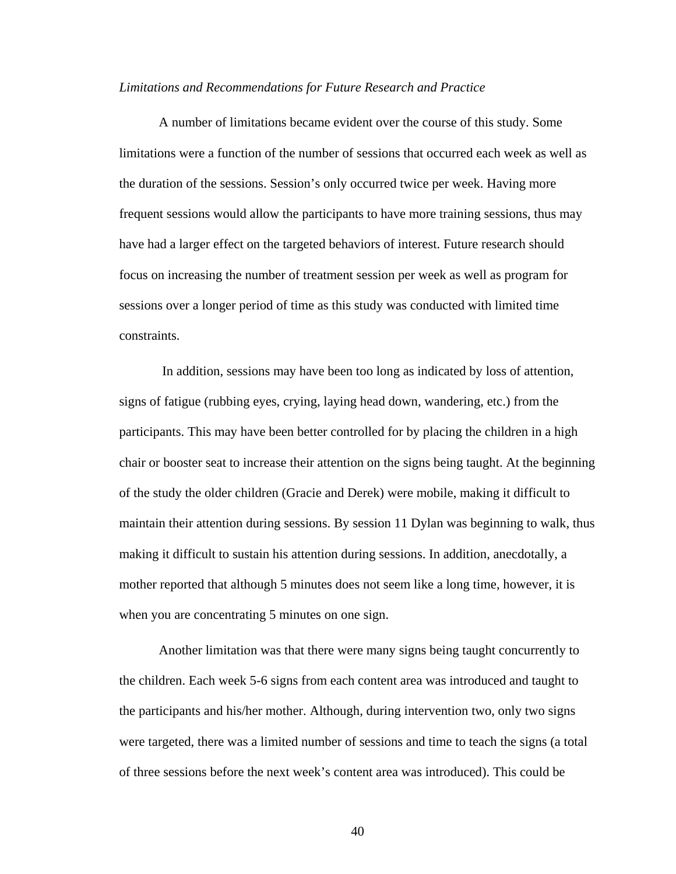#### *Limitations and Recommendations for Future Research and Practice*

A number of limitations became evident over the course of this study. Some limitations were a function of the number of sessions that occurred each week as well as the duration of the sessions. Session's only occurred twice per week. Having more frequent sessions would allow the participants to have more training sessions, thus may have had a larger effect on the targeted behaviors of interest. Future research should focus on increasing the number of treatment session per week as well as program for sessions over a longer period of time as this study was conducted with limited time constraints.

 In addition, sessions may have been too long as indicated by loss of attention, signs of fatigue (rubbing eyes, crying, laying head down, wandering, etc.) from the participants. This may have been better controlled for by placing the children in a high chair or booster seat to increase their attention on the signs being taught. At the beginning of the study the older children (Gracie and Derek) were mobile, making it difficult to maintain their attention during sessions. By session 11 Dylan was beginning to walk, thus making it difficult to sustain his attention during sessions. In addition, anecdotally, a mother reported that although 5 minutes does not seem like a long time, however, it is when you are concentrating 5 minutes on one sign.

Another limitation was that there were many signs being taught concurrently to the children. Each week 5-6 signs from each content area was introduced and taught to the participants and his/her mother. Although, during intervention two, only two signs were targeted, there was a limited number of sessions and time to teach the signs (a total of three sessions before the next week's content area was introduced). This could be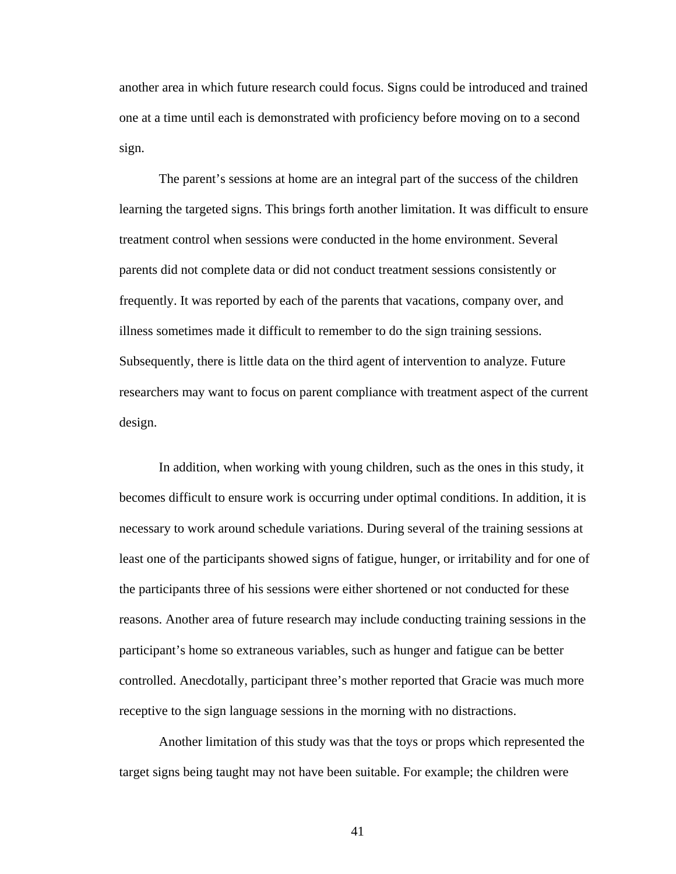another area in which future research could focus. Signs could be introduced and trained one at a time until each is demonstrated with proficiency before moving on to a second sign.

The parent's sessions at home are an integral part of the success of the children learning the targeted signs. This brings forth another limitation. It was difficult to ensure treatment control when sessions were conducted in the home environment. Several parents did not complete data or did not conduct treatment sessions consistently or frequently. It was reported by each of the parents that vacations, company over, and illness sometimes made it difficult to remember to do the sign training sessions. Subsequently, there is little data on the third agent of intervention to analyze. Future researchers may want to focus on parent compliance with treatment aspect of the current design.

In addition, when working with young children, such as the ones in this study, it becomes difficult to ensure work is occurring under optimal conditions. In addition, it is necessary to work around schedule variations. During several of the training sessions at least one of the participants showed signs of fatigue, hunger, or irritability and for one of the participants three of his sessions were either shortened or not conducted for these reasons. Another area of future research may include conducting training sessions in the participant's home so extraneous variables, such as hunger and fatigue can be better controlled. Anecdotally, participant three's mother reported that Gracie was much more receptive to the sign language sessions in the morning with no distractions.

Another limitation of this study was that the toys or props which represented the target signs being taught may not have been suitable. For example; the children were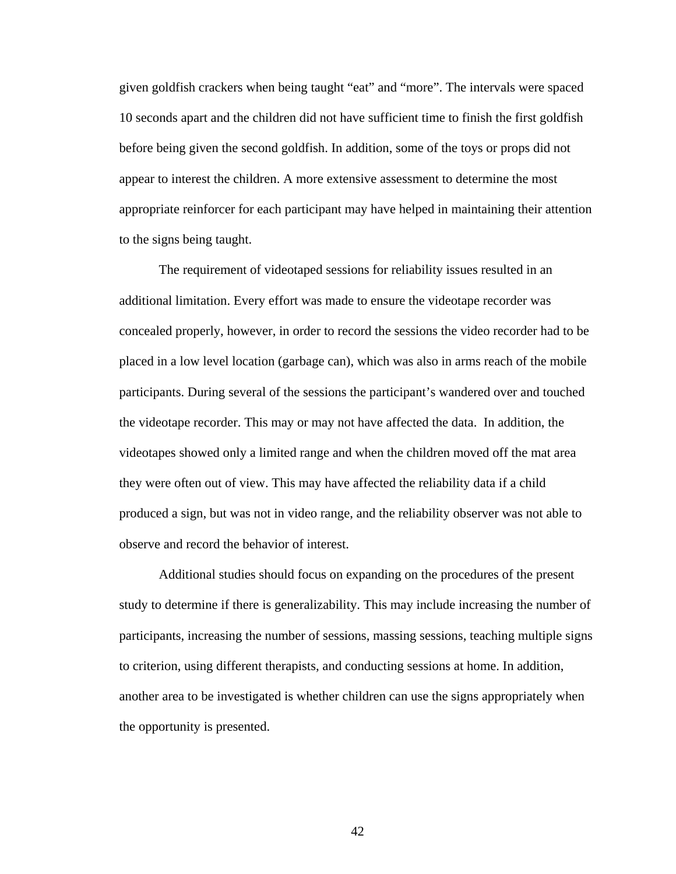given goldfish crackers when being taught "eat" and "more". The intervals were spaced 10 seconds apart and the children did not have sufficient time to finish the first goldfish before being given the second goldfish. In addition, some of the toys or props did not appear to interest the children. A more extensive assessment to determine the most appropriate reinforcer for each participant may have helped in maintaining their attention to the signs being taught.

The requirement of videotaped sessions for reliability issues resulted in an additional limitation. Every effort was made to ensure the videotape recorder was concealed properly, however, in order to record the sessions the video recorder had to be placed in a low level location (garbage can), which was also in arms reach of the mobile participants. During several of the sessions the participant's wandered over and touched the videotape recorder. This may or may not have affected the data. In addition, the videotapes showed only a limited range and when the children moved off the mat area they were often out of view. This may have affected the reliability data if a child produced a sign, but was not in video range, and the reliability observer was not able to observe and record the behavior of interest.

Additional studies should focus on expanding on the procedures of the present study to determine if there is generalizability. This may include increasing the number of participants, increasing the number of sessions, massing sessions, teaching multiple signs to criterion, using different therapists, and conducting sessions at home. In addition, another area to be investigated is whether children can use the signs appropriately when the opportunity is presented.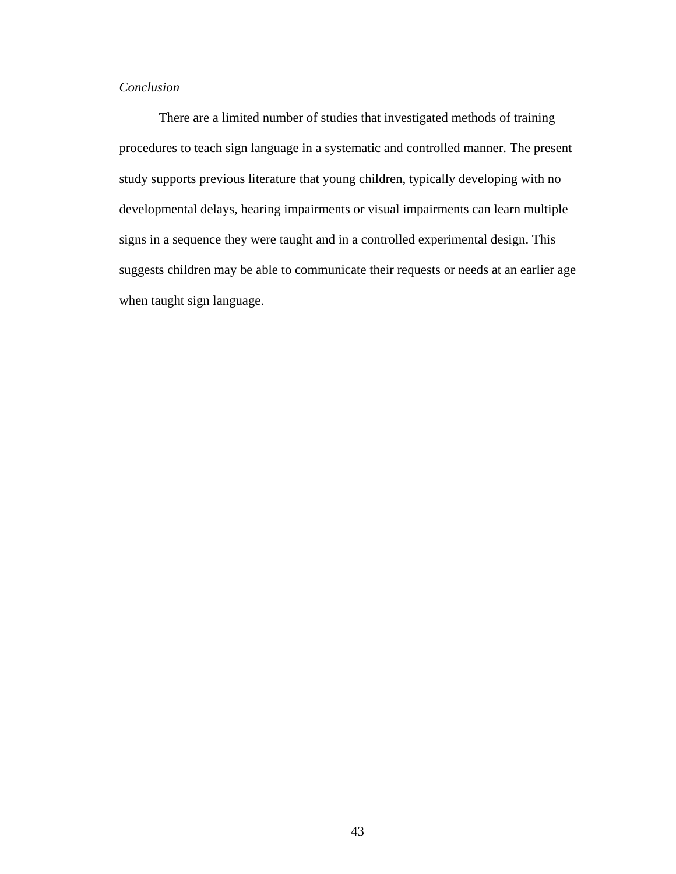## *Conclusion*

There are a limited number of studies that investigated methods of training procedures to teach sign language in a systematic and controlled manner. The present study supports previous literature that young children, typically developing with no developmental delays, hearing impairments or visual impairments can learn multiple signs in a sequence they were taught and in a controlled experimental design. This suggests children may be able to communicate their requests or needs at an earlier age when taught sign language.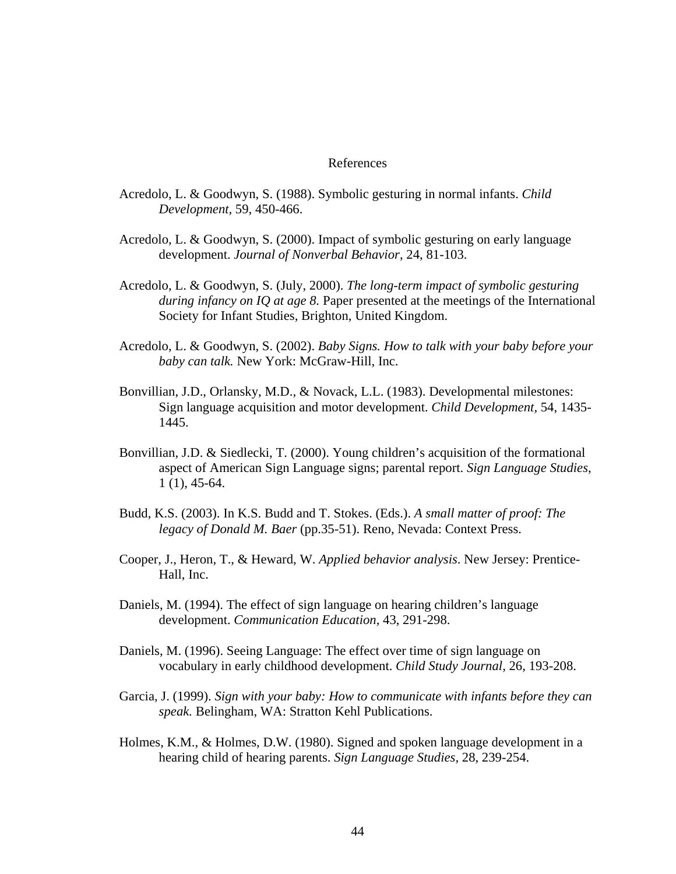#### References

- Acredolo, L. & Goodwyn, S. (1988). Symbolic gesturing in normal infants. *Child Development,* 59, 450-466.
- Acredolo, L. & Goodwyn, S. (2000). Impact of symbolic gesturing on early language development. *Journal of Nonverbal Behavior*, 24, 81-103.
- Acredolo, L. & Goodwyn, S. (July, 2000). *The long-term impact of symbolic gesturing during infancy on IQ at age 8.* Paper presented at the meetings of the International Society for Infant Studies, Brighton, United Kingdom.
- Acredolo, L. & Goodwyn, S. (2002). *Baby Signs. How to talk with your baby before your baby can talk.* New York: McGraw-Hill, Inc.
- Bonvillian, J.D., Orlansky, M.D., & Novack, L.L. (1983). Developmental milestones: Sign language acquisition and motor development. *Child Development,* 54, 1435- 1445.
- Bonvillian, J.D. & Siedlecki, T. (2000). Young children's acquisition of the formational aspect of American Sign Language signs; parental report. *Sign Language Studies*, 1 (1), 45-64.
- Budd, K.S. (2003). In K.S. Budd and T. Stokes. (Eds.). *A small matter of proof: The legacy of Donald M. Baer* (pp.35-51). Reno, Nevada: Context Press.
- Cooper, J., Heron, T., & Heward, W. *Applied behavior analysis*. New Jersey: Prentice-Hall, Inc.
- Daniels, M. (1994). The effect of sign language on hearing children's language development. *Communication Education,* 43, 291-298.
- Daniels, M. (1996). Seeing Language: The effect over time of sign language on vocabulary in early childhood development. *Child Study Journal,* 26, 193-208.
- Garcia, J. (1999). *Sign with your baby: How to communicate with infants before they can speak.* Belingham, WA: Stratton Kehl Publications.
- Holmes, K.M., & Holmes, D.W. (1980). Signed and spoken language development in a hearing child of hearing parents. *Sign Language Studies,* 28, 239-254.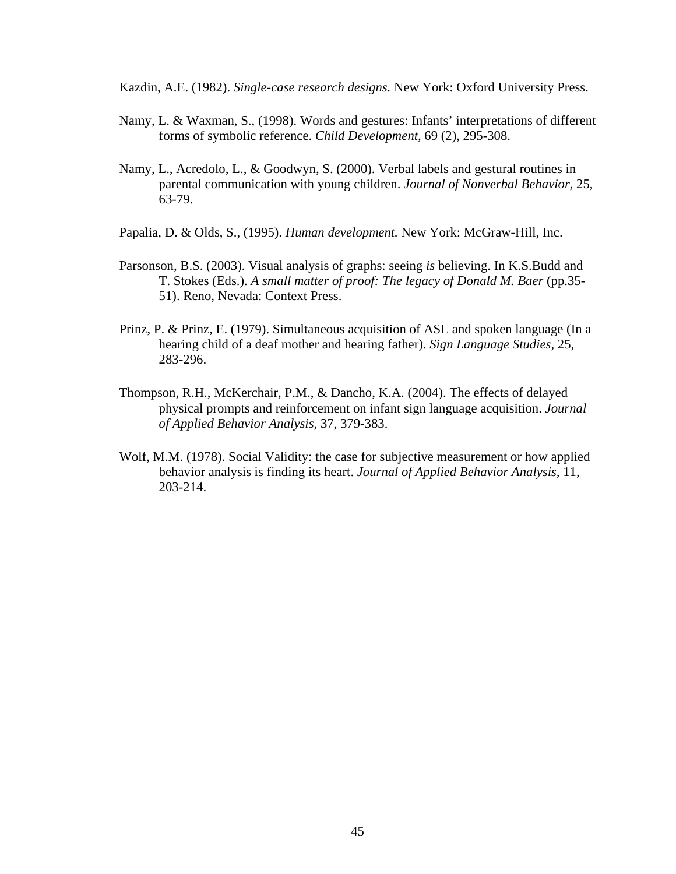Kazdin, A.E. (1982). *Single-case research designs.* New York: Oxford University Press.

- Namy, L. & Waxman, S., (1998). Words and gestures: Infants' interpretations of different forms of symbolic reference. *Child Development,* 69 (2), 295-308.
- Namy, L., Acredolo, L., & Goodwyn, S. (2000). Verbal labels and gestural routines in parental communication with young children. *Journal of Nonverbal Behavior,* 25, 63-79.
- Papalia, D. & Olds, S., (1995). *Human development.* New York: McGraw-Hill, Inc.
- Parsonson, B.S. (2003). Visual analysis of graphs: seeing *is* believing. In K.S.Budd and T. Stokes (Eds.). *A small matter of proof: The legacy of Donald M. Baer* (pp.35- 51). Reno, Nevada: Context Press.
- Prinz, P. & Prinz, E. (1979). Simultaneous acquisition of ASL and spoken language (In a hearing child of a deaf mother and hearing father). *Sign Language Studies,* 25, 283-296.
- Thompson, R.H., McKerchair, P.M., & Dancho, K.A. (2004). The effects of delayed physical prompts and reinforcement on infant sign language acquisition. *Journal of Applied Behavior Analysis,* 37, 379-383.
- Wolf, M.M. (1978). Social Validity: the case for subjective measurement or how applied behavior analysis is finding its heart. *Journal of Applied Behavior Analysis,* 11, 203-214.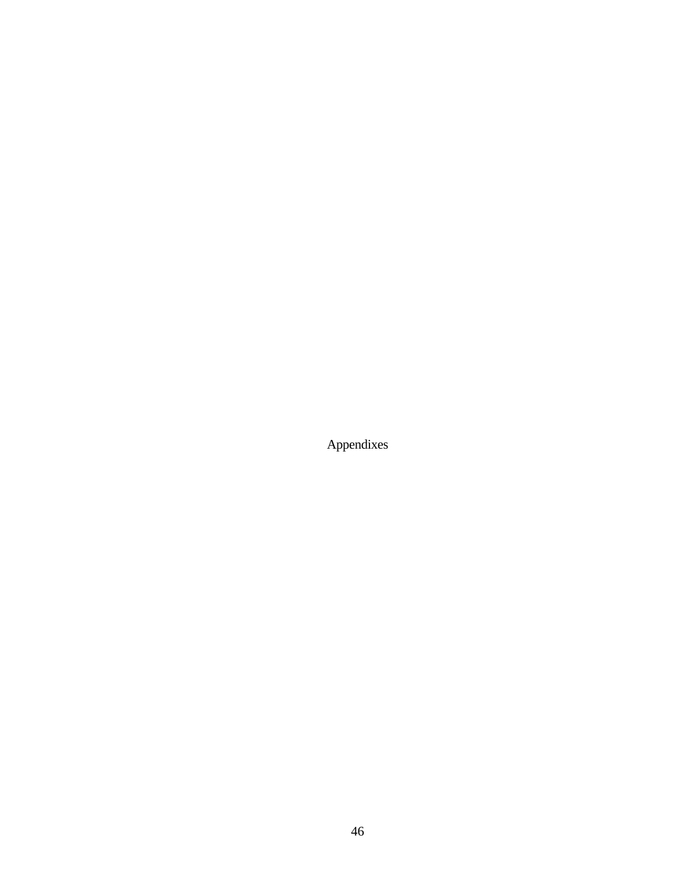Appendixes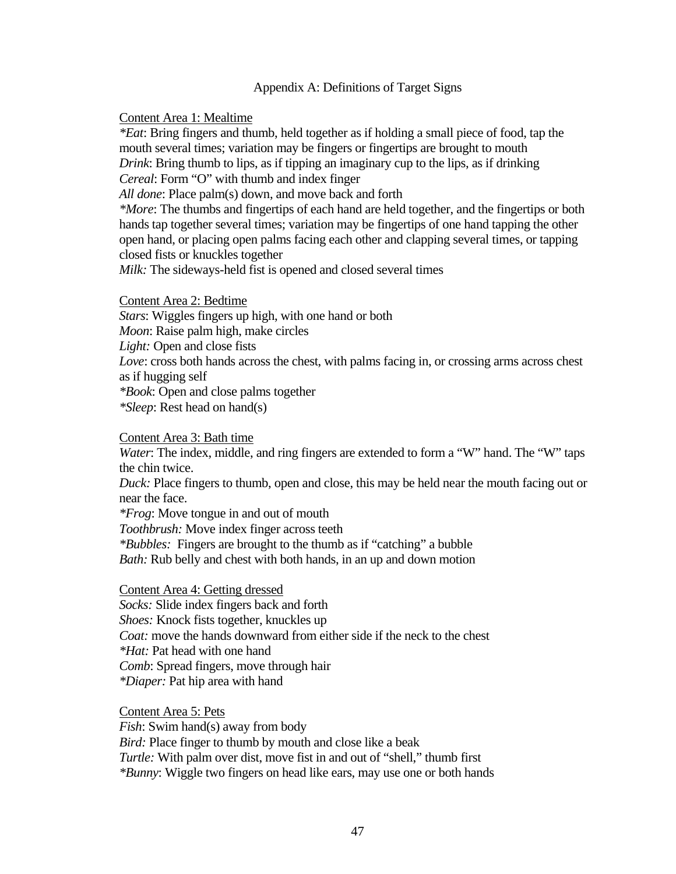## Appendix A: Definitions of Target Signs

## Content Area 1: Mealtime

*\*Eat*: Bring fingers and thumb, held together as if holding a small piece of food, tap the mouth several times; variation may be fingers or fingertips are brought to mouth *Drink*: Bring thumb to lips, as if tipping an imaginary cup to the lips, as if drinking *Cereal*: Form "O" with thumb and index finger

*All done*: Place palm(s) down, and move back and forth

*\*More*: The thumbs and fingertips of each hand are held together, and the fingertips or both hands tap together several times; variation may be fingertips of one hand tapping the other open hand, or placing open palms facing each other and clapping several times, or tapping closed fists or knuckles together

*Milk:* The sideways-held fist is opened and closed several times

Content Area 2: Bedtime

*Stars*: Wiggles fingers up high, with one hand or both *Moon*: Raise palm high, make circles *Light:* Open and close fists *Love*: cross both hands across the chest, with palms facing in, or crossing arms across chest as if hugging self *\*Book*: Open and close palms together *\*Sleep*: Rest head on hand(s)

#### Content Area 3: Bath time

*Water*: The index, middle, and ring fingers are extended to form a "W" hand. The "W" taps the chin twice.

*Duck:* Place fingers to thumb, open and close, this may be held near the mouth facing out or near the face.

*\*Frog*: Move tongue in and out of mouth

*Toothbrush:* Move index finger across teeth

*\*Bubbles:* Fingers are brought to the thumb as if "catching" a bubble *Bath:* Rub belly and chest with both hands, in an up and down motion

Content Area 4: Getting dressed

*Socks:* Slide index fingers back and forth

*Shoes:* Knock fists together, knuckles up

*Coat:* move the hands downward from either side if the neck to the chest

*\*Hat:* Pat head with one hand

*Comb*: Spread fingers, move through hair

*\*Diaper:* Pat hip area with hand

Content Area 5: Pets

*Fish*: Swim hand(s) away from body

*Bird:* Place finger to thumb by mouth and close like a beak

*Turtle:* With palm over dist, move fist in and out of "shell," thumb first

*\*Bunny*: Wiggle two fingers on head like ears, may use one or both hands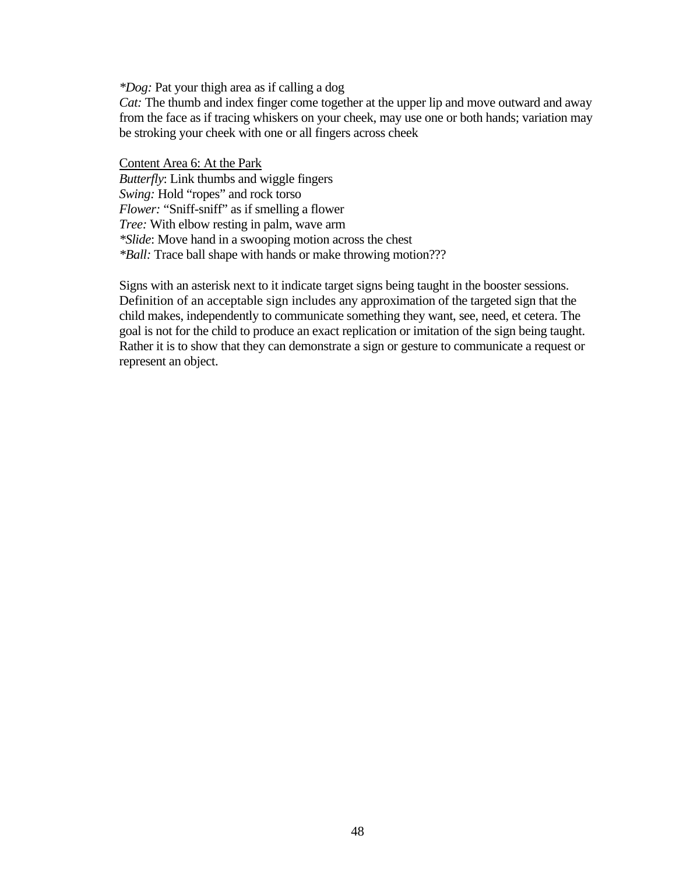*\*Dog:* Pat your thigh area as if calling a dog

*Cat:* The thumb and index finger come together at the upper lip and move outward and away from the face as if tracing whiskers on your cheek, may use one or both hands; variation may be stroking your cheek with one or all fingers across cheek

Content Area 6: At the Park *Butterfly*: Link thumbs and wiggle fingers *Swing:* Hold "ropes" and rock torso *Flower:* "Sniff-sniff" as if smelling a flower *Tree:* With elbow resting in palm, wave arm *\*Slide*: Move hand in a swooping motion across the chest *\*Ball:* Trace ball shape with hands or make throwing motion???

Signs with an asterisk next to it indicate target signs being taught in the booster sessions. Definition of an acceptable sign includes any approximation of the targeted sign that the child makes, independently to communicate something they want, see, need, et cetera. The goal is not for the child to produce an exact replication or imitation of the sign being taught. Rather it is to show that they can demonstrate a sign or gesture to communicate a request or represent an object.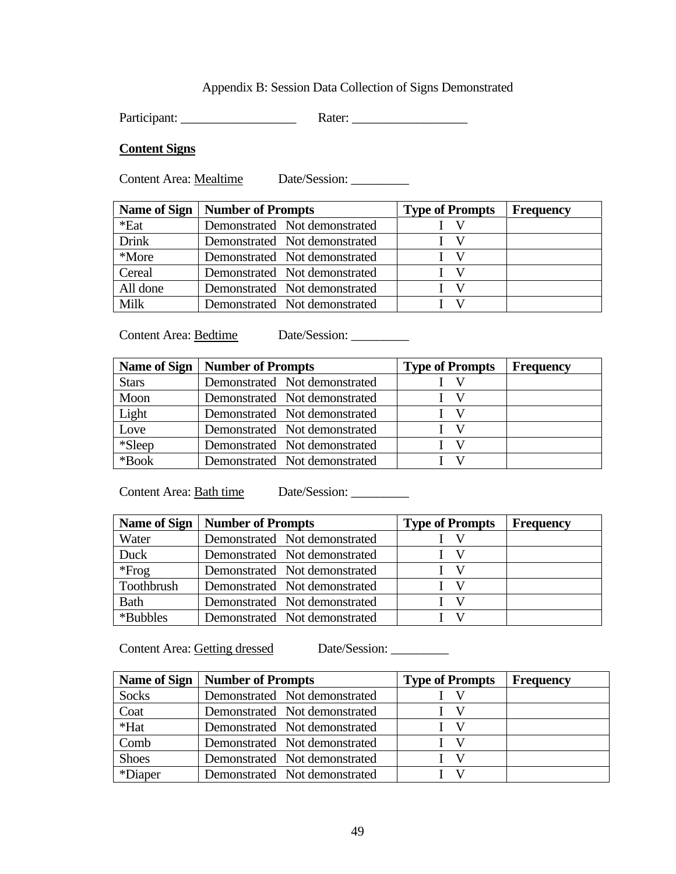# Appendix B: Session Data Collection of Signs Demonstrated

Participant: \_\_\_\_\_\_\_\_\_\_\_\_\_\_\_\_\_\_ Rater: \_\_\_\_\_\_\_\_\_\_\_\_\_\_\_\_\_\_

## **Content Signs**

Content Area: Mealtime Date/Session: \_\_\_\_\_\_\_\_\_

|              | Name of Sign   Number of Prompts | <b>Type of Prompts</b>        | <b>Frequency</b> |
|--------------|----------------------------------|-------------------------------|------------------|
| *Eat         | Demonstrated Not demonstrated    | $\mathbf{I} \quad \mathbf{V}$ |                  |
| <b>Drink</b> | Demonstrated Not demonstrated    | $I \quad V$                   |                  |
| *More        | Demonstrated Not demonstrated    | $I$ V                         |                  |
| Cereal       | Demonstrated Not demonstrated    | $I \quad V$                   |                  |
| All done     | Demonstrated Not demonstrated    | $I \ V$                       |                  |
| Milk         | Demonstrated Not demonstrated    | $\mathbf{I} \quad \mathbf{V}$ |                  |

Content Area: BedtimeDate/Session: \_\_\_\_\_\_\_\_\_

|              | Name of Sign   Number of Prompts | <b>Type of Prompts</b>        | <b>Frequency</b> |
|--------------|----------------------------------|-------------------------------|------------------|
| <b>Stars</b> | Demonstrated Not demonstrated    |                               |                  |
| Moon         | Demonstrated Not demonstrated    |                               |                  |
| Light        | Demonstrated Not demonstrated    |                               |                  |
| Love         | Demonstrated Not demonstrated    | $\mathbf{I} \quad \mathbf{V}$ |                  |
| *Sleep       | Demonstrated Not demonstrated    |                               |                  |
| $*Book$      | Demonstrated Not demonstrated    |                               |                  |

Content Area: Bath time Date/Session: \_\_\_\_\_\_\_\_\_\_

| <b>Name of Sign</b> | <b>Number of Prompts</b>      | <b>Type of Prompts</b>        | <b>Frequency</b> |
|---------------------|-------------------------------|-------------------------------|------------------|
| Water               | Demonstrated Not demonstrated |                               |                  |
| Duck                | Demonstrated Not demonstrated | I V                           |                  |
| $*Frog$             | Demonstrated Not demonstrated | - V                           |                  |
| Toothbrush          | Demonstrated Not demonstrated | $\mathbf{I} \quad \mathbf{V}$ |                  |
| <b>Bath</b>         | Demonstrated Not demonstrated | $\mathbf{I} \quad \mathbf{V}$ |                  |
| *Bubbles            | Demonstrated Not demonstrated |                               |                  |

Content Area: Getting dressed Date/Session:

| <b>Name of Sign</b> | <b>Number of Prompts</b>      | <b>Type of Prompts</b>        | <b>Frequency</b> |
|---------------------|-------------------------------|-------------------------------|------------------|
| <b>Socks</b>        | Demonstrated Not demonstrated | $\mathbf{I} \quad \mathbf{V}$ |                  |
| Coat                | Demonstrated Not demonstrated | $\mathbf{I} \quad \mathbf{V}$ |                  |
| *Hat                | Demonstrated Not demonstrated | $\mathbf{I} \quad \mathbf{V}$ |                  |
| Comb                | Demonstrated Not demonstrated | I V                           |                  |
| <b>Shoes</b>        | Demonstrated Not demonstrated | I V                           |                  |
| *Diaper             | Demonstrated Not demonstrated | X7                            |                  |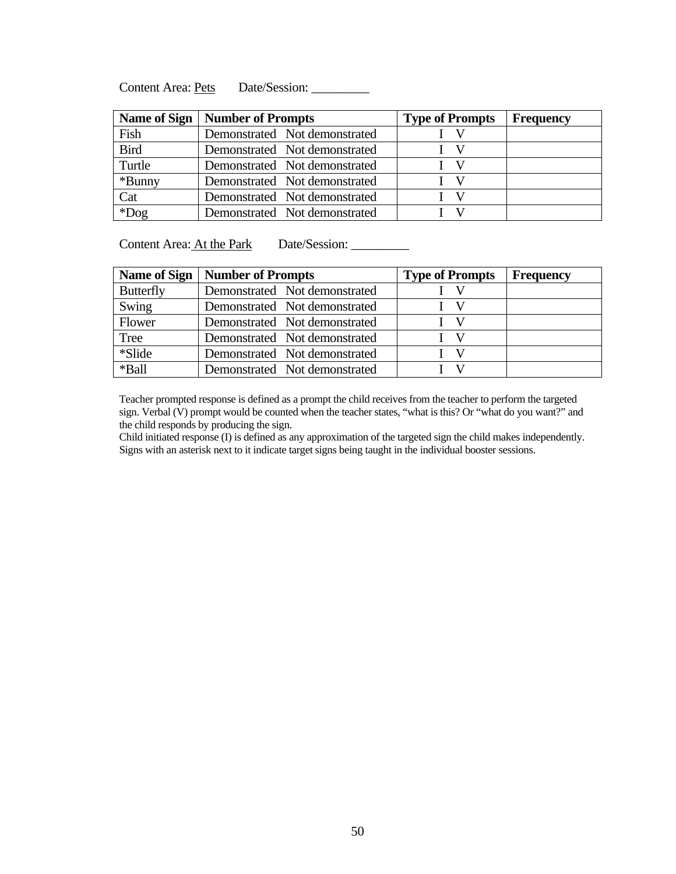Content Area: Pets Date/Session: \_\_\_\_\_\_\_\_\_

|             | Name of Sign   Number of Prompts | <b>Type of Prompts</b> | <b>Frequency</b> |
|-------------|----------------------------------|------------------------|------------------|
| Fish        | Demonstrated Not demonstrated    |                        |                  |
| <b>Bird</b> | Demonstrated Not demonstrated    |                        |                  |
| Turtle      | Demonstrated Not demonstrated    | $\mathbf{V}$           |                  |
| *Bunny      | Demonstrated Not demonstrated    | V                      |                  |
| Cat         | Demonstrated Not demonstrated    | V                      |                  |
| $*$ Dog     | Demonstrated Not demonstrated    |                        |                  |

Content Area: <u>At the Park</u> Date/Session: \_\_\_\_\_\_\_\_\_\_

|                  | Name of Sign   Number of Prompts | <b>Type of Prompts</b>        | <b>Frequency</b> |
|------------------|----------------------------------|-------------------------------|------------------|
| <b>Butterfly</b> | Demonstrated Not demonstrated    |                               |                  |
| Swing            | Demonstrated Not demonstrated    | -V                            |                  |
| Flower           | Demonstrated Not demonstrated    | $\mathbf{V}$                  |                  |
| Tree             | Demonstrated Not demonstrated    | $\mathbf{I} \quad \mathbf{V}$ |                  |
| *Slide           | Demonstrated Not demonstrated    |                               |                  |
| *Ball            | Demonstrated Not demonstrated    |                               |                  |

Teacher prompted response is defined as a prompt the child receives from the teacher to perform the targeted sign. Verbal (V) prompt would be counted when the teacher states, "what is this? Or "what do you want?" and the child responds by producing the sign.

Child initiated response (I) is defined as any approximation of the targeted sign the child makes independently. Signs with an asterisk next to it indicate target signs being taught in the individual booster sessions.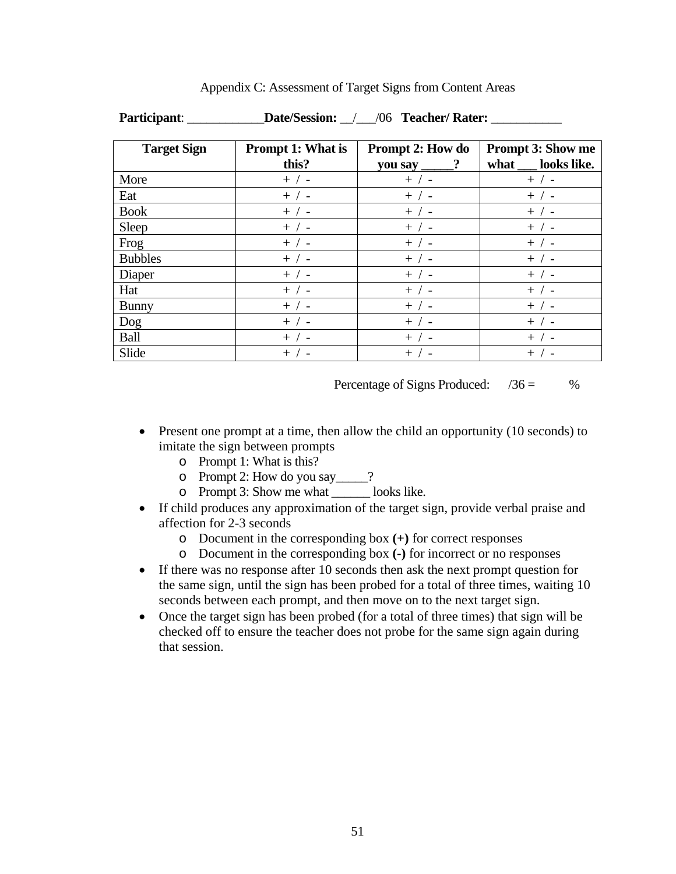| <b>Target Sign</b> | <b>Prompt 1: What is</b><br>this? | <b>Prompt 2: How do</b><br>you say | <b>Prompt 3: Show me</b><br>looks like.<br>what |
|--------------------|-----------------------------------|------------------------------------|-------------------------------------------------|
| More               | $+$ / -                           | $+$ / -                            | $+$ / -                                         |
| Eat                | $+$ / -                           | $+$ / -                            | $+$ / -                                         |
| <b>Book</b>        | $+$ / -                           | $+$ / -                            | $+$ / -                                         |
| Sleep              | $+$ / -                           | $+$ / -                            | $+$ / -                                         |
| Frog               | $+$ / -                           | $+$ / -                            | $+$ / -                                         |
| <b>Bubbles</b>     | $+$ / -                           | $+$ / -                            | $+$ / -                                         |
| Diaper             | $+$ / -                           | $+$ / -                            | $+$ / -                                         |
| Hat                | $+$ / -                           | $+$ / -                            | $+$ / -                                         |
| <b>Bunny</b>       | $+$ / -                           | $+$ / -                            | $+$ / -                                         |
| Dog                | $+$ / -                           | $+$ / -                            | $+$ / -                                         |
| Ball               | $+$ / -                           | $+$ / -                            | $+$ / -                                         |
| Slide              | $+$ / -                           | $+$ / $-$                          | $+$ / -                                         |

Appendix C: Assessment of Target Signs from Content Areas

**Participant**: \_\_\_\_\_\_\_\_\_\_\_\_**Date/Session:** \_\_/\_\_\_/06 **Teacher/ Rater:** \_\_\_\_\_\_\_\_\_\_\_

Percentage of Signs Produced:  $/36 =$  %

- Present one prompt at a time, then allow the child an opportunity (10 seconds) to imitate the sign between prompts
	- o Prompt 1: What is this?
	- o Prompt 2: How do you say\_\_\_\_\_?
	- o Prompt 3: Show me what \_\_\_\_\_\_ looks like.
- If child produces any approximation of the target sign, provide verbal praise and affection for 2-3 seconds
	- o Document in the corresponding box **(+)** for correct responses
	- o Document in the corresponding box **(-)** for incorrect or no responses
- If there was no response after 10 seconds then ask the next prompt question for the same sign, until the sign has been probed for a total of three times, waiting 10 seconds between each prompt, and then move on to the next target sign.
- Once the target sign has been probed (for a total of three times) that sign will be checked off to ensure the teacher does not probe for the same sign again during that session.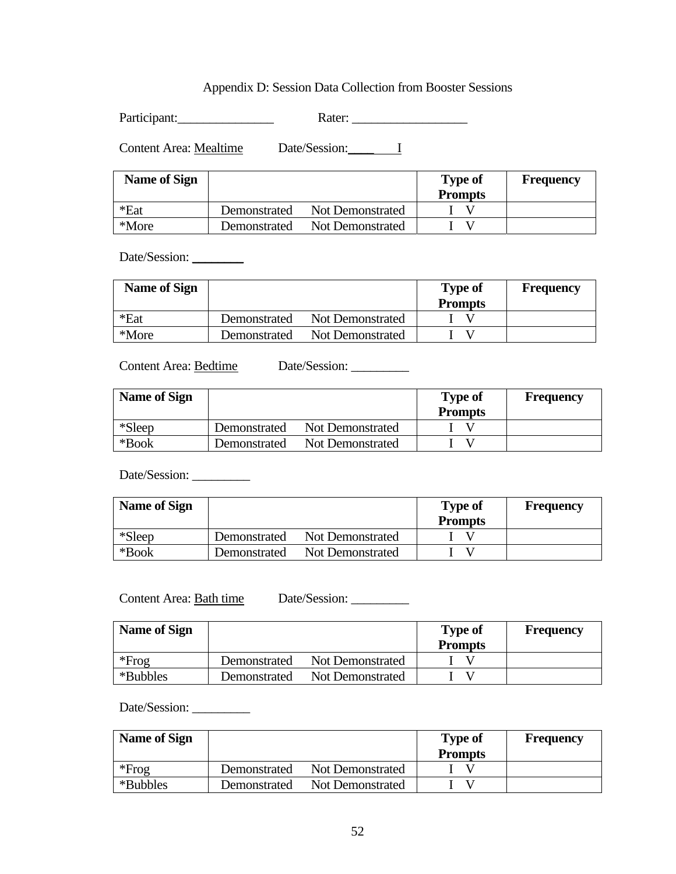## Appendix D: Session Data Collection from Booster Sessions

Participant:\_\_\_\_\_\_\_\_\_\_\_\_\_\_\_ Rater: \_\_\_\_\_\_\_\_\_\_\_\_\_\_\_\_\_\_

Content Area: Mealtime Date/Session: 1

| <b>Name of Sign</b> |              |                  | <b>Type of</b><br><b>Prompts</b> | Frequency |
|---------------------|--------------|------------------|----------------------------------|-----------|
| *Eat                | Demonstrated | Not Demonstrated |                                  |           |
| *More               | Demonstrated | Not Demonstrated |                                  |           |

Date/Session: \_\_\_\_\_\_\_\_

| <b>Name of Sign</b> |              |                  | <b>Type of</b><br><b>Prompts</b> | <b>Frequency</b> |
|---------------------|--------------|------------------|----------------------------------|------------------|
| *Eat                | Demonstrated | Not Demonstrated |                                  |                  |
| *More               | Demonstrated | Not Demonstrated |                                  |                  |

Content Area: <u>Bedtime</u> Date/Session: \_\_\_\_\_\_\_\_\_

| <b>Name of Sign</b> |              |                  | <b>Type of</b><br><b>Prompts</b> | <b>Frequency</b> |
|---------------------|--------------|------------------|----------------------------------|------------------|
| *Sleep              | Demonstrated | Not Demonstrated |                                  |                  |
| $*$ Book            | Demonstrated | Not Demonstrated |                                  |                  |

Date/Session: \_\_\_\_\_\_\_\_\_

| <b>Name of Sign</b> |              |                  | <b>Type of</b><br><b>Prompts</b> | <b>Frequency</b> |
|---------------------|--------------|------------------|----------------------------------|------------------|
| $*Sleep$            | Demonstrated | Not Demonstrated |                                  |                  |
| *Book               | Demonstrated | Not Demonstrated |                                  |                  |

Content Area: Bath time Date/Session: \_\_\_\_\_\_\_\_\_\_

| <b>Name of Sign</b> |              |                  | <b>Type of</b><br><b>Prompts</b> | <b>Frequency</b> |
|---------------------|--------------|------------------|----------------------------------|------------------|
| $*Frog$             | Demonstrated | Not Demonstrated |                                  |                  |
| *Bubbles            | Demonstrated | Not Demonstrated |                                  |                  |

Date/Session:

| <b>Name of Sign</b> |              |                  | <b>Type of</b> | <b>Frequency</b> |
|---------------------|--------------|------------------|----------------|------------------|
|                     |              |                  | <b>Prompts</b> |                  |
| $*Frog$             | Demonstrated | Not Demonstrated |                |                  |
| *Bubbles            | Demonstrated | Not Demonstrated |                |                  |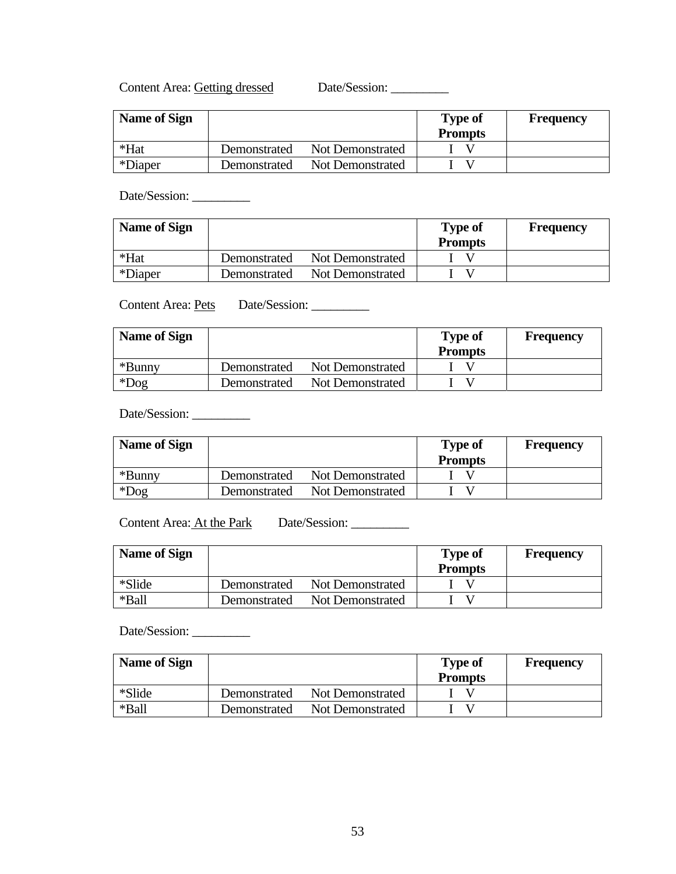Content Area: Getting dressed Date/Session: \_\_\_\_\_\_\_\_\_

| <b>Name of Sign</b> |              |                  | <b>Type of</b><br><b>Prompts</b> | Frequency |
|---------------------|--------------|------------------|----------------------------------|-----------|
| *Hat                | Demonstrated | Not Demonstrated |                                  |           |
| *Diaper             | Demonstrated | Not Demonstrated |                                  |           |

Date/Session:

| <b>Name of Sign</b> |              |                  | <b>Type of</b><br><b>Prompts</b> | <b>Frequency</b> |
|---------------------|--------------|------------------|----------------------------------|------------------|
| *Hat                | Demonstrated | Not Demonstrated |                                  |                  |
| *Diaper             | Demonstrated | Not Demonstrated |                                  |                  |

Content Area: <u>Pets</u> Date/Session: \_\_\_\_\_\_\_\_\_

| <b>Name of Sign</b> |              |                         | <b>Type of</b><br><b>Prompts</b> | <b>Frequency</b> |
|---------------------|--------------|-------------------------|----------------------------------|------------------|
| *Bunny              | Demonstrated | Not Demonstrated        |                                  |                  |
| $*$ Dog             | Demonstrated | <b>Not Demonstrated</b> |                                  |                  |

Date/Session: \_\_\_\_\_\_\_\_\_

| <b>Name of Sign</b> |              |                  | <b>Type of</b><br><b>Prompts</b> | <b>Frequency</b> |
|---------------------|--------------|------------------|----------------------------------|------------------|
| *Bunny              | Demonstrated | Not Demonstrated |                                  |                  |
| $*$ Dog             | Demonstrated | Not Demonstrated |                                  |                  |

Content Area: <u>At the Park</u> Date/Session: \_\_\_\_\_\_\_\_\_\_\_

| <b>Name of Sign</b> |              |                  | <b>Type of</b><br><b>Prompts</b> | <b>Frequency</b> |
|---------------------|--------------|------------------|----------------------------------|------------------|
| *Slide              | Demonstrated | Not Demonstrated |                                  |                  |
| *Ball               | Demonstrated | Not Demonstrated |                                  |                  |

Date/Session: \_\_\_\_\_\_\_\_\_

| <b>Name of Sign</b> |              |                  | <b>Type of</b><br><b>Prompts</b> | <b>Frequency</b> |
|---------------------|--------------|------------------|----------------------------------|------------------|
| *Slide              | Demonstrated | Not Demonstrated |                                  |                  |
| *Ball               | Demonstrated | Not Demonstrated |                                  |                  |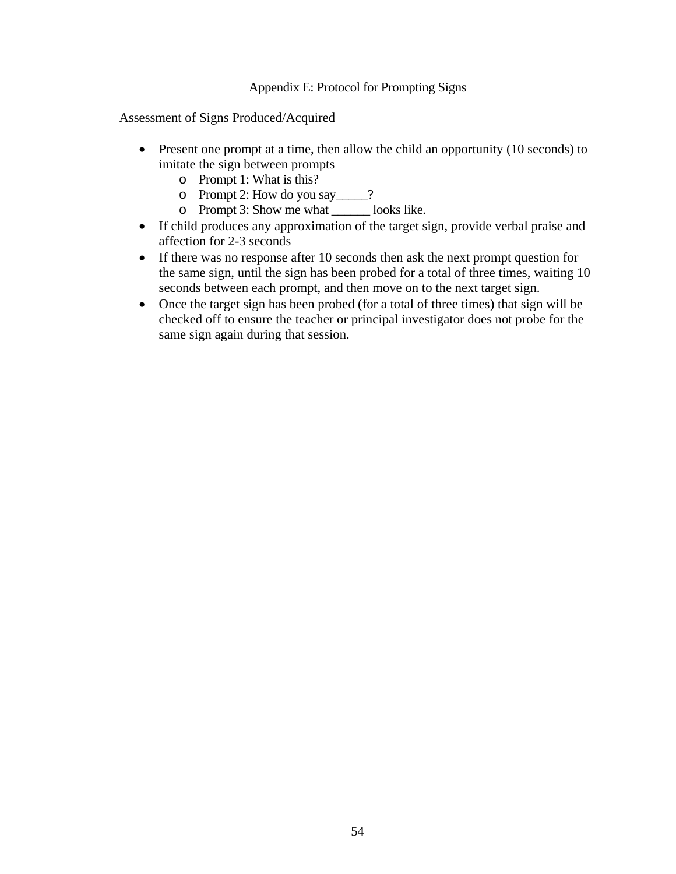## Appendix E: Protocol for Prompting Signs

Assessment of Signs Produced/Acquired

- Present one prompt at a time, then allow the child an opportunity (10 seconds) to imitate the sign between prompts
	- o Prompt 1: What is this?
	- o Prompt 2: How do you say\_\_\_\_\_?
	- o Prompt 3: Show me what \_\_\_\_\_\_ looks like.
- If child produces any approximation of the target sign, provide verbal praise and affection for 2-3 seconds
- If there was no response after 10 seconds then ask the next prompt question for the same sign, until the sign has been probed for a total of three times, waiting 10 seconds between each prompt, and then move on to the next target sign.
- Once the target sign has been probed (for a total of three times) that sign will be checked off to ensure the teacher or principal investigator does not probe for the same sign again during that session.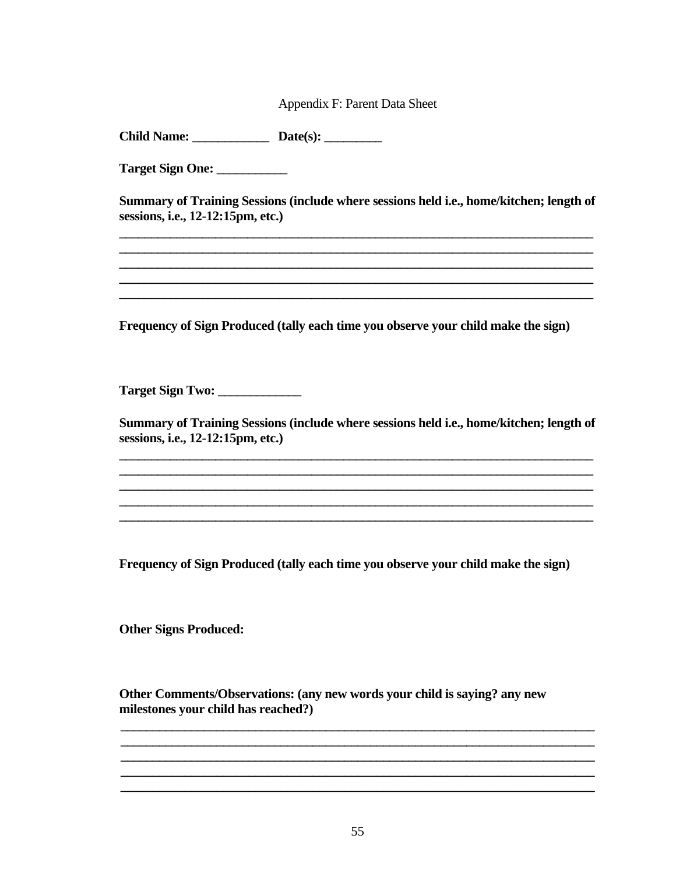Appendix F: Parent Data Sheet

Target Sign One: \_\_\_\_\_\_\_\_\_\_

Summary of Training Sessions (include where sessions held i.e., home/kitchen; length of sessions, i.e., 12-12:15pm, etc.)

Frequency of Sign Produced (tally each time you observe your child make the sign)

Target Sign Two:

Summary of Training Sessions (include where sessions held i.e., home/kitchen; length of sessions, i.e., 12-12:15pm, etc.)

Frequency of Sign Produced (tally each time you observe your child make the sign)

**Other Signs Produced:** 

Other Comments/Observations: (any new words your child is saying? any new milestones your child has reached?)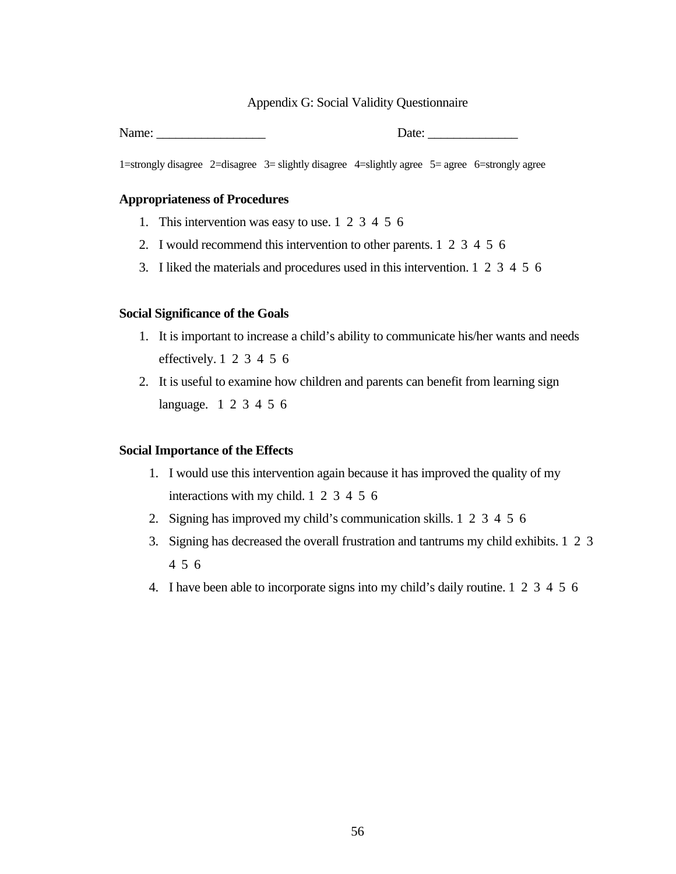### Appendix G: Social Validity Questionnaire

Name:  $\Box$ 

1=strongly disagree 2=disagree 3= slightly disagree 4=slightly agree 5= agree 6=strongly agree

### **Appropriateness of Procedures**

- 1. This intervention was easy to use. 1 2 3 4 5 6
- 2. I would recommend this intervention to other parents. 1 2 3 4 5 6
- 3. I liked the materials and procedures used in this intervention. 1 2 3 4 5 6

#### **Social Significance of the Goals**

- 1. It is important to increase a child's ability to communicate his/her wants and needs effectively. 1 2 3 4 5 6
- 2. It is useful to examine how children and parents can benefit from learning sign language. 1 2 3 4 5 6

## **Social Importance of the Effects**

- 1. I would use this intervention again because it has improved the quality of my interactions with my child. 1 2 3 4 5 6
- 2. Signing has improved my child's communication skills. 1 2 3 4 5 6
- 3. Signing has decreased the overall frustration and tantrums my child exhibits. 1 2 3 4 5 6
- 4. I have been able to incorporate signs into my child's daily routine. 1 2 3 4 5 6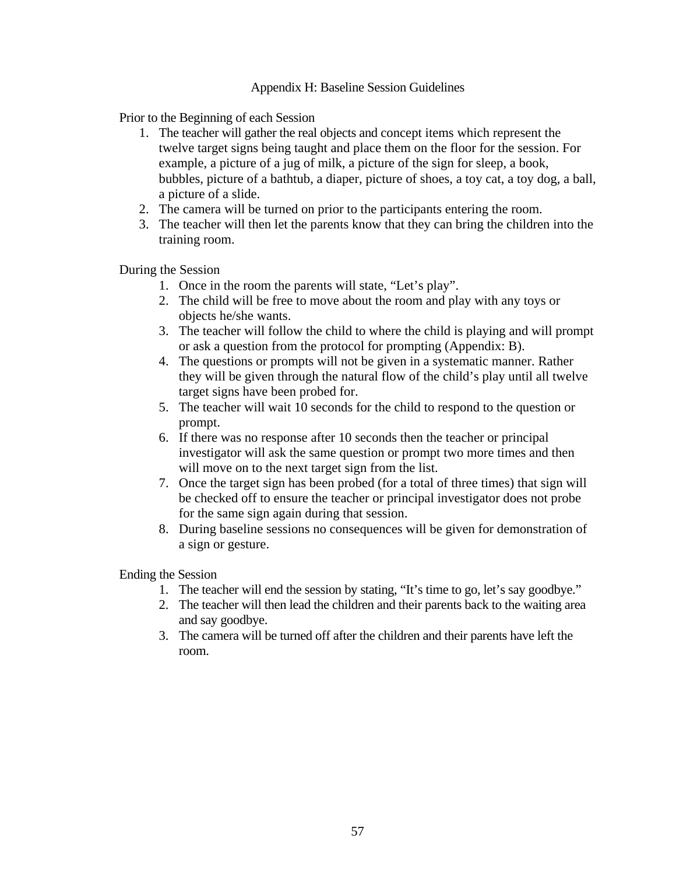## Appendix H: Baseline Session Guidelines

Prior to the Beginning of each Session

- 1. The teacher will gather the real objects and concept items which represent the twelve target signs being taught and place them on the floor for the session. For example, a picture of a jug of milk, a picture of the sign for sleep, a book, bubbles, picture of a bathtub, a diaper, picture of shoes, a toy cat, a toy dog, a ball, a picture of a slide.
- 2. The camera will be turned on prior to the participants entering the room.
- 3. The teacher will then let the parents know that they can bring the children into the training room.

During the Session

- 1. Once in the room the parents will state, "Let's play".
- 2. The child will be free to move about the room and play with any toys or objects he/she wants.
- 3. The teacher will follow the child to where the child is playing and will prompt or ask a question from the protocol for prompting (Appendix: B).
- 4. The questions or prompts will not be given in a systematic manner. Rather they will be given through the natural flow of the child's play until all twelve target signs have been probed for.
- 5. The teacher will wait 10 seconds for the child to respond to the question or prompt.
- 6. If there was no response after 10 seconds then the teacher or principal investigator will ask the same question or prompt two more times and then will move on to the next target sign from the list.
- 7. Once the target sign has been probed (for a total of three times) that sign will be checked off to ensure the teacher or principal investigator does not probe for the same sign again during that session.
- 8. During baseline sessions no consequences will be given for demonstration of a sign or gesture.

Ending the Session

- 1. The teacher will end the session by stating, "It's time to go, let's say goodbye."
- 2. The teacher will then lead the children and their parents back to the waiting area and say goodbye.
- 3. The camera will be turned off after the children and their parents have left the room.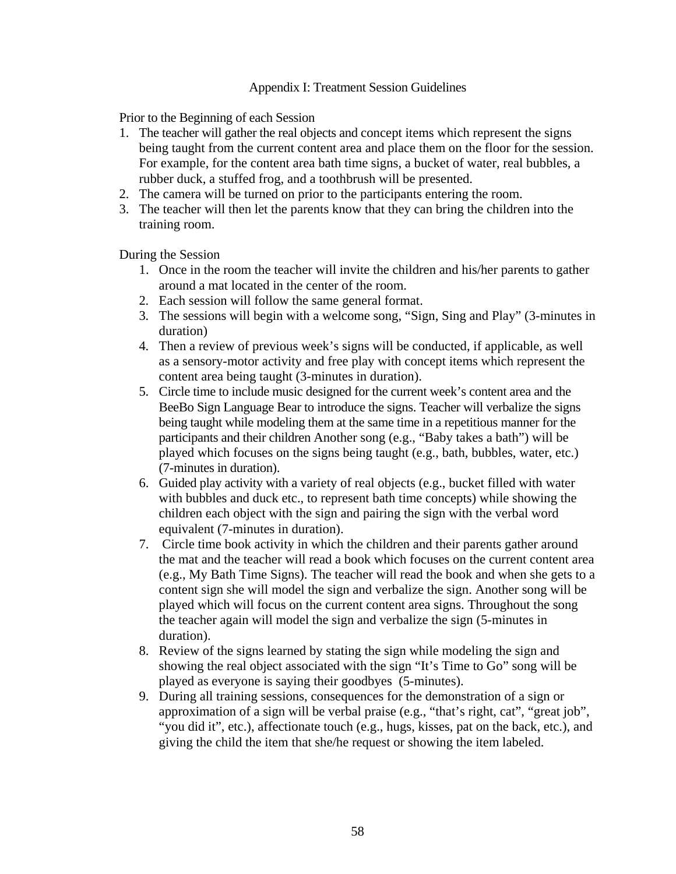## Appendix I: Treatment Session Guidelines

Prior to the Beginning of each Session

- 1. The teacher will gather the real objects and concept items which represent the signs being taught from the current content area and place them on the floor for the session. For example, for the content area bath time signs, a bucket of water, real bubbles, a rubber duck, a stuffed frog, and a toothbrush will be presented.
- 2. The camera will be turned on prior to the participants entering the room.
- 3. The teacher will then let the parents know that they can bring the children into the training room.

During the Session

- 1. Once in the room the teacher will invite the children and his/her parents to gather around a mat located in the center of the room.
- 2. Each session will follow the same general format.
- 3. The sessions will begin with a welcome song, "Sign, Sing and Play" (3-minutes in duration)
- 4. Then a review of previous week's signs will be conducted, if applicable, as well as a sensory-motor activity and free play with concept items which represent the content area being taught (3-minutes in duration).
- 5. Circle time to include music designed for the current week's content area and the BeeBo Sign Language Bear to introduce the signs. Teacher will verbalize the signs being taught while modeling them at the same time in a repetitious manner for the participants and their children Another song (e.g., "Baby takes a bath") will be played which focuses on the signs being taught (e.g., bath, bubbles, water, etc.) (7-minutes in duration).
- 6. Guided play activity with a variety of real objects (e.g., bucket filled with water with bubbles and duck etc., to represent bath time concepts) while showing the children each object with the sign and pairing the sign with the verbal word equivalent (7-minutes in duration).
- 7. Circle time book activity in which the children and their parents gather around the mat and the teacher will read a book which focuses on the current content area (e.g., My Bath Time Signs). The teacher will read the book and when she gets to a content sign she will model the sign and verbalize the sign. Another song will be played which will focus on the current content area signs. Throughout the song the teacher again will model the sign and verbalize the sign (5-minutes in duration).
- 8. Review of the signs learned by stating the sign while modeling the sign and showing the real object associated with the sign "It's Time to Go" song will be played as everyone is saying their goodbyes (5-minutes).
- 9. During all training sessions, consequences for the demonstration of a sign or approximation of a sign will be verbal praise (e.g., "that's right, cat", "great job", "you did it", etc.), affectionate touch (e.g., hugs, kisses, pat on the back, etc.), and giving the child the item that she/he request or showing the item labeled.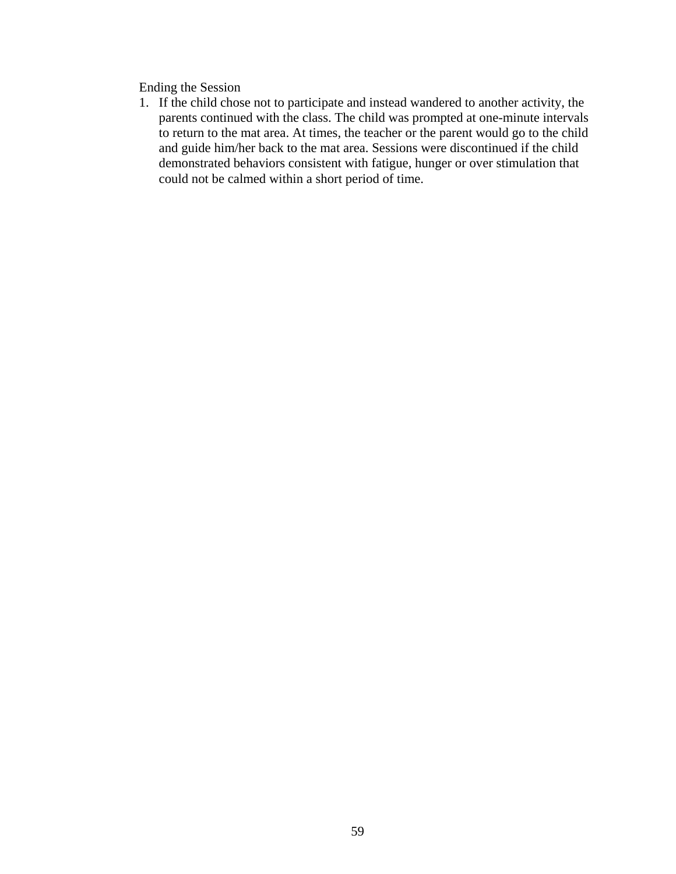Ending the Session

1. If the child chose not to participate and instead wandered to another activity, the parents continued with the class. The child was prompted at one-minute intervals to return to the mat area. At times, the teacher or the parent would go to the child and guide him/her back to the mat area. Sessions were discontinued if the child demonstrated behaviors consistent with fatigue, hunger or over stimulation that could not be calmed within a short period of time.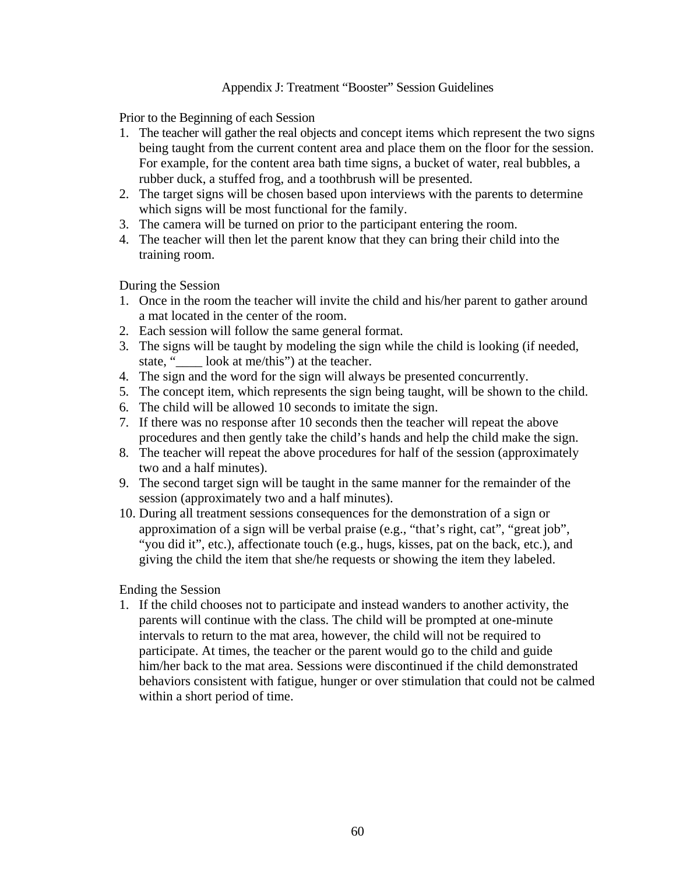## Appendix J: Treatment "Booster" Session Guidelines

Prior to the Beginning of each Session

- 1. The teacher will gather the real objects and concept items which represent the two signs being taught from the current content area and place them on the floor for the session. For example, for the content area bath time signs, a bucket of water, real bubbles, a rubber duck, a stuffed frog, and a toothbrush will be presented.
- 2. The target signs will be chosen based upon interviews with the parents to determine which signs will be most functional for the family.
- 3. The camera will be turned on prior to the participant entering the room.
- 4. The teacher will then let the parent know that they can bring their child into the training room.

During the Session

- 1. Once in the room the teacher will invite the child and his/her parent to gather around a mat located in the center of the room.
- 2. Each session will follow the same general format.
- 3. The signs will be taught by modeling the sign while the child is looking (if needed, state, "\_\_\_\_ look at me/this") at the teacher.
- 4. The sign and the word for the sign will always be presented concurrently.
- 5. The concept item, which represents the sign being taught, will be shown to the child.
- 6. The child will be allowed 10 seconds to imitate the sign.
- 7. If there was no response after 10 seconds then the teacher will repeat the above procedures and then gently take the child's hands and help the child make the sign.
- 8. The teacher will repeat the above procedures for half of the session (approximately two and a half minutes).
- 9. The second target sign will be taught in the same manner for the remainder of the session (approximately two and a half minutes).
- 10. During all treatment sessions consequences for the demonstration of a sign or approximation of a sign will be verbal praise (e.g., "that's right, cat", "great job", "you did it", etc.), affectionate touch (e.g., hugs, kisses, pat on the back, etc.), and giving the child the item that she/he requests or showing the item they labeled.

## Ending the Session

1. If the child chooses not to participate and instead wanders to another activity, the parents will continue with the class. The child will be prompted at one-minute intervals to return to the mat area, however, the child will not be required to participate. At times, the teacher or the parent would go to the child and guide him/her back to the mat area. Sessions were discontinued if the child demonstrated behaviors consistent with fatigue, hunger or over stimulation that could not be calmed within a short period of time.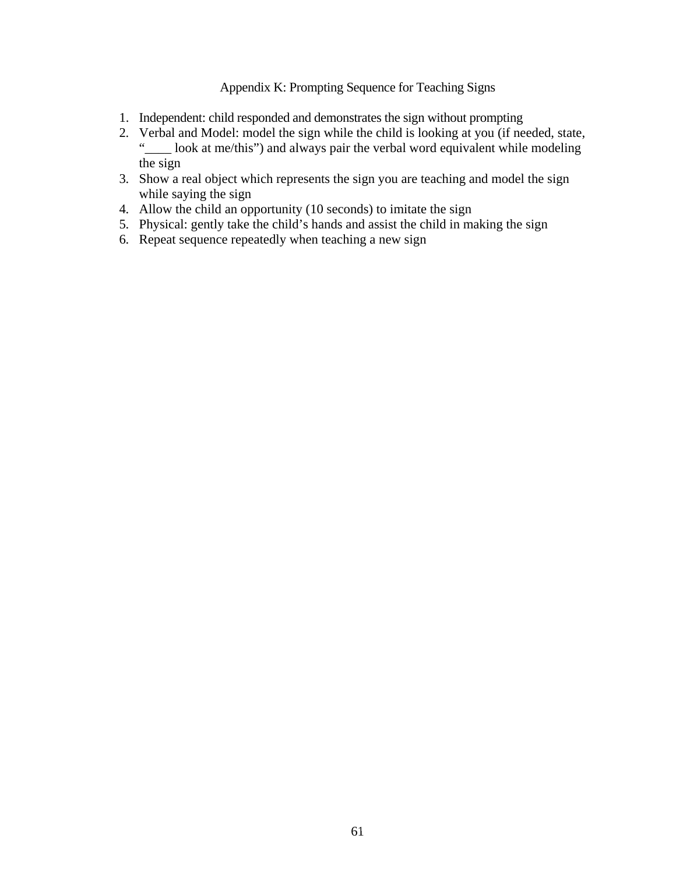# Appendix K: Prompting Sequence for Teaching Signs

- 1. Independent: child responded and demonstrates the sign without prompting
- 2. Verbal and Model: model the sign while the child is looking at you (if needed, state,<br>"Look at ma/this") and always pair the verbal word equivalent while modeling  $\Box$  look at me/this") and always pair the verbal word equivalent while modeling the sign
- 3. Show a real object which represents the sign you are teaching and model the sign while saying the sign
- 4. Allow the child an opportunity (10 seconds) to imitate the sign
- 5. Physical: gently take the child's hands and assist the child in making the sign
- 6. Repeat sequence repeatedly when teaching a new sign